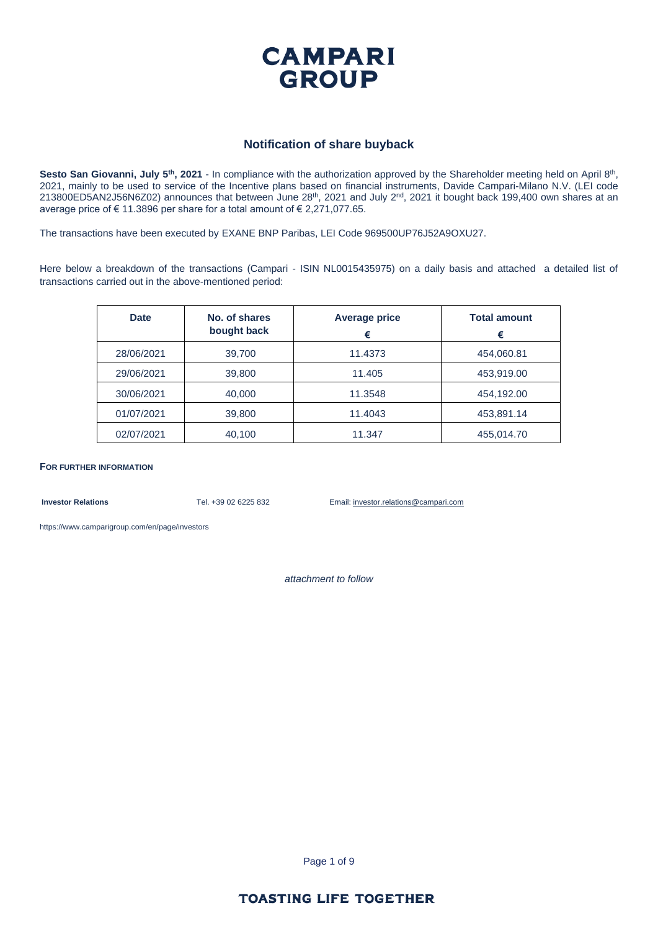

#### **Notification of share buyback**

Sesto San Giovanni, July 5<sup>th</sup>, 2021 - In compliance with the authorization approved by the Shareholder meeting held on April 8<sup>th</sup>, 2021, mainly to be used to service of the Incentive plans based on financial instruments, Davide Campari-Milano N.V. (LEI code  $213800ED5AN2J56NGZO2$ ) announces that between June  $28<sup>th</sup>$ ,  $2021$  and July  $2<sup>nd</sup>$ ,  $2021$  it bought back 199,400 own shares at an average price of € 11.3896 per share for a total amount of € 2,271,077.65.

The transactions have been executed by EXANE BNP Paribas, LEI Code 969500UP76J52A9OXU27.

Here below a breakdown of the transactions (Campari - ISIN NL0015435975) on a daily basis and attached a detailed list of transactions carried out in the above-mentioned period:

| <b>Date</b> | No. of shares<br>bought back | <b>Average price</b><br>€ | <b>Total amount</b><br>€ |
|-------------|------------------------------|---------------------------|--------------------------|
| 28/06/2021  | 39,700                       | 11.4373                   | 454,060.81               |
| 29/06/2021  | 39,800                       | 11.405                    | 453,919.00               |
| 30/06/2021  | 40,000                       | 11.3548                   | 454,192.00               |
| 01/07/2021  | 39,800                       | 11.4043                   | 453,891.14               |
| 02/07/2021  | 40,100                       | 11.347                    | 455,014.70               |

**FOR FURTHER INFORMATION**

**Investor Relations** Tel. +39 02 6225 832 Email: investor.relations@campari.com

[https://www.camparigroup.com/en/page/investors](https://urldefense.proofpoint.com/v2/url?u=https-3A__www.camparigroup.com_en_page_investors&d=DwMFAw&c=XYrWdXnqoGVNRPOyUELP3IXCOEKnVf1zLk3mv6_0vws&r=7duvdfu-gIaiPrAcF5cMQ3C7k4ExOdDC_HToaoAPHZI&m=owk4gVJoOX0Y5PzcaCnrKyxdIRMNjFCG63QhVPH7AUk&s=iCu7Kfnsxig867VkmNLTca3aRN9CMoJdPlGaK-6pYP8&e=)

*attachment to follow*

Page 1 of 9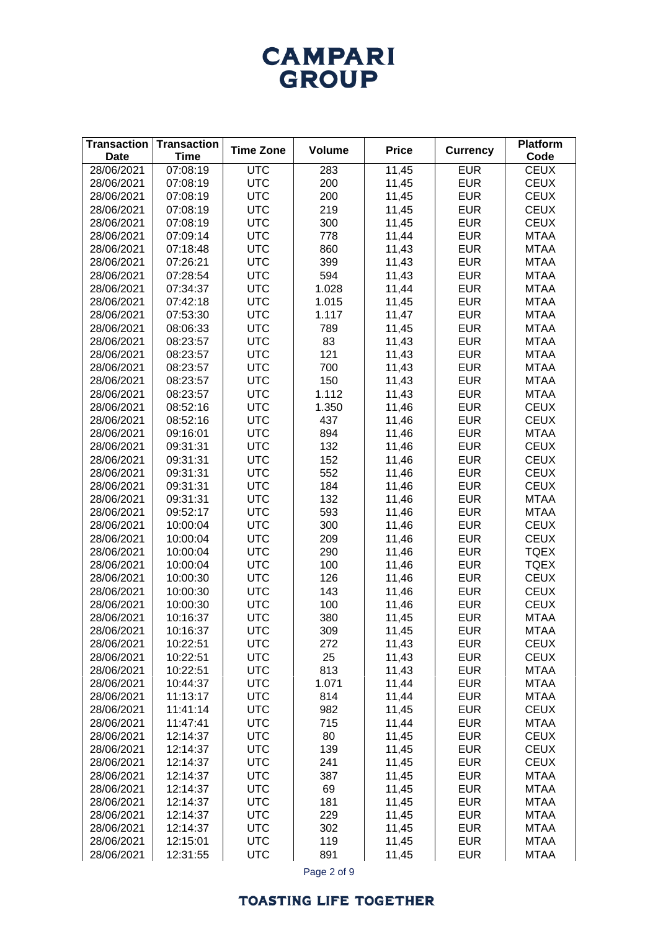# **CAMPARI** GROUP

| 07:08:19<br>28/06/2021<br>11,45<br><b>EUR</b><br><b>CEUX</b><br><b>UTC</b><br>283<br><b>UTC</b><br>200<br><b>EUR</b><br><b>CEUX</b><br>28/06/2021<br>07:08:19<br>11,45<br><b>UTC</b><br>200<br><b>EUR</b><br><b>CEUX</b><br>28/06/2021<br>07:08:19<br>11,45<br>219<br><b>EUR</b><br><b>CEUX</b><br>28/06/2021<br>07:08:19<br><b>UTC</b><br>11,45<br>300<br>11,45<br><b>EUR</b><br><b>CEUX</b><br>28/06/2021<br>07:08:19<br><b>UTC</b><br>778<br>11,44<br><b>EUR</b><br>28/06/2021<br>07:09:14<br><b>UTC</b><br><b>MTAA</b><br><b>UTC</b><br>860<br>11,43<br><b>EUR</b><br>28/06/2021<br>07:18:48<br><b>MTAA</b><br>399<br>07:26:21<br><b>UTC</b><br>11,43<br><b>EUR</b><br><b>MTAA</b><br>28/06/2021<br>594<br>11,43<br>07:28:54<br><b>UTC</b><br><b>EUR</b><br><b>MTAA</b><br>28/06/2021<br>11,44<br><b>EUR</b><br>28/06/2021<br>07:34:37<br><b>UTC</b><br>1.028<br><b>MTAA</b><br><b>UTC</b><br>11,45<br><b>EUR</b><br>28/06/2021<br>07:42:18<br>1.015<br><b>MTAA</b><br><b>UTC</b><br><b>EUR</b><br>07:53:30<br>1.117<br>11,47<br><b>MTAA</b><br>28/06/2021<br><b>UTC</b><br>11,45<br><b>EUR</b><br>28/06/2021<br>08:06:33<br>789<br><b>MTAA</b><br><b>UTC</b><br>83<br>11,43<br><b>EUR</b><br>28/06/2021<br>08:23:57<br><b>MTAA</b><br><b>UTC</b><br>121<br><b>EUR</b><br>08:23:57<br>11,43<br><b>MTAA</b><br>28/06/2021<br><b>UTC</b><br>700<br>11,43<br><b>EUR</b><br>28/06/2021<br>08:23:57<br><b>MTAA</b><br><b>UTC</b><br>150<br>11,43<br><b>EUR</b><br>28/06/2021<br>08:23:57<br><b>MTAA</b><br><b>UTC</b><br>1.112<br>11,43<br><b>EUR</b><br>28/06/2021<br>08:23:57<br><b>MTAA</b><br><b>UTC</b><br>11,46<br><b>EUR</b><br>28/06/2021<br>08:52:16<br>1.350<br><b>CEUX</b><br><b>UTC</b><br><b>EUR</b><br>28/06/2021<br>08:52:16<br>437<br>11,46<br><b>CEUX</b><br><b>UTC</b><br>894<br><b>EUR</b><br>28/06/2021<br>09:16:01<br>11,46<br><b>MTAA</b><br><b>UTC</b><br>132<br>11,46<br><b>EUR</b><br>28/06/2021<br>09:31:31<br><b>CEUX</b><br><b>UTC</b><br>152<br>11,46<br><b>EUR</b><br>28/06/2021<br>09:31:31<br><b>CEUX</b><br>552<br><b>UTC</b><br>28/06/2021<br>09:31:31<br>11,46<br><b>EUR</b><br><b>CEUX</b><br><b>UTC</b><br>184<br>28/06/2021<br>09:31:31<br>11,46<br><b>EUR</b><br><b>CEUX</b><br><b>UTC</b><br>132<br>28/06/2021<br>09:31:31<br>11,46<br><b>EUR</b><br><b>MTAA</b><br><b>UTC</b><br>593<br>11,46<br><b>EUR</b><br><b>MTAA</b><br>28/06/2021<br>09:52:17<br><b>UTC</b><br>300<br>28/06/2021<br>10:00:04<br>11,46<br><b>EUR</b><br><b>CEUX</b><br><b>UTC</b><br>10:00:04<br>209<br>11,46<br><b>EUR</b><br><b>CEUX</b><br>28/06/2021<br><b>UTC</b><br>28/06/2021<br>10:00:04<br>290<br>11,46<br><b>EUR</b><br><b>TQEX</b><br><b>UTC</b><br>28/06/2021<br>10:00:04<br>100<br>11,46<br><b>EUR</b><br><b>TQEX</b><br>10:00:30<br><b>UTC</b><br>126<br><b>EUR</b><br><b>CEUX</b><br>28/06/2021<br>11,46<br>10:00:30<br><b>UTC</b><br>143<br><b>EUR</b><br><b>CEUX</b><br>28/06/2021<br>11,46 | <b>Transaction</b><br><b>Date</b> | <b>Transaction</b><br><b>Time</b> | <b>Time Zone</b> | <b>Volume</b> | <b>Price</b> | <b>Currency</b> | <b>Platform</b><br>Code |
|----------------------------------------------------------------------------------------------------------------------------------------------------------------------------------------------------------------------------------------------------------------------------------------------------------------------------------------------------------------------------------------------------------------------------------------------------------------------------------------------------------------------------------------------------------------------------------------------------------------------------------------------------------------------------------------------------------------------------------------------------------------------------------------------------------------------------------------------------------------------------------------------------------------------------------------------------------------------------------------------------------------------------------------------------------------------------------------------------------------------------------------------------------------------------------------------------------------------------------------------------------------------------------------------------------------------------------------------------------------------------------------------------------------------------------------------------------------------------------------------------------------------------------------------------------------------------------------------------------------------------------------------------------------------------------------------------------------------------------------------------------------------------------------------------------------------------------------------------------------------------------------------------------------------------------------------------------------------------------------------------------------------------------------------------------------------------------------------------------------------------------------------------------------------------------------------------------------------------------------------------------------------------------------------------------------------------------------------------------------------------------------------------------------------------------------------------------------------------------------------------------------------------------------------------------------------------------------------------------------------------------------------------------------------------------------------------------------------------------------------------------------------------------------------------------------------------------------------------------------------------------------------------------------------------|-----------------------------------|-----------------------------------|------------------|---------------|--------------|-----------------|-------------------------|
|                                                                                                                                                                                                                                                                                                                                                                                                                                                                                                                                                                                                                                                                                                                                                                                                                                                                                                                                                                                                                                                                                                                                                                                                                                                                                                                                                                                                                                                                                                                                                                                                                                                                                                                                                                                                                                                                                                                                                                                                                                                                                                                                                                                                                                                                                                                                                                                                                                                                                                                                                                                                                                                                                                                                                                                                                                                                                                                            |                                   |                                   |                  |               |              |                 |                         |
|                                                                                                                                                                                                                                                                                                                                                                                                                                                                                                                                                                                                                                                                                                                                                                                                                                                                                                                                                                                                                                                                                                                                                                                                                                                                                                                                                                                                                                                                                                                                                                                                                                                                                                                                                                                                                                                                                                                                                                                                                                                                                                                                                                                                                                                                                                                                                                                                                                                                                                                                                                                                                                                                                                                                                                                                                                                                                                                            |                                   |                                   |                  |               |              |                 |                         |
|                                                                                                                                                                                                                                                                                                                                                                                                                                                                                                                                                                                                                                                                                                                                                                                                                                                                                                                                                                                                                                                                                                                                                                                                                                                                                                                                                                                                                                                                                                                                                                                                                                                                                                                                                                                                                                                                                                                                                                                                                                                                                                                                                                                                                                                                                                                                                                                                                                                                                                                                                                                                                                                                                                                                                                                                                                                                                                                            |                                   |                                   |                  |               |              |                 |                         |
|                                                                                                                                                                                                                                                                                                                                                                                                                                                                                                                                                                                                                                                                                                                                                                                                                                                                                                                                                                                                                                                                                                                                                                                                                                                                                                                                                                                                                                                                                                                                                                                                                                                                                                                                                                                                                                                                                                                                                                                                                                                                                                                                                                                                                                                                                                                                                                                                                                                                                                                                                                                                                                                                                                                                                                                                                                                                                                                            |                                   |                                   |                  |               |              |                 |                         |
|                                                                                                                                                                                                                                                                                                                                                                                                                                                                                                                                                                                                                                                                                                                                                                                                                                                                                                                                                                                                                                                                                                                                                                                                                                                                                                                                                                                                                                                                                                                                                                                                                                                                                                                                                                                                                                                                                                                                                                                                                                                                                                                                                                                                                                                                                                                                                                                                                                                                                                                                                                                                                                                                                                                                                                                                                                                                                                                            |                                   |                                   |                  |               |              |                 |                         |
|                                                                                                                                                                                                                                                                                                                                                                                                                                                                                                                                                                                                                                                                                                                                                                                                                                                                                                                                                                                                                                                                                                                                                                                                                                                                                                                                                                                                                                                                                                                                                                                                                                                                                                                                                                                                                                                                                                                                                                                                                                                                                                                                                                                                                                                                                                                                                                                                                                                                                                                                                                                                                                                                                                                                                                                                                                                                                                                            |                                   |                                   |                  |               |              |                 |                         |
|                                                                                                                                                                                                                                                                                                                                                                                                                                                                                                                                                                                                                                                                                                                                                                                                                                                                                                                                                                                                                                                                                                                                                                                                                                                                                                                                                                                                                                                                                                                                                                                                                                                                                                                                                                                                                                                                                                                                                                                                                                                                                                                                                                                                                                                                                                                                                                                                                                                                                                                                                                                                                                                                                                                                                                                                                                                                                                                            |                                   |                                   |                  |               |              |                 |                         |
|                                                                                                                                                                                                                                                                                                                                                                                                                                                                                                                                                                                                                                                                                                                                                                                                                                                                                                                                                                                                                                                                                                                                                                                                                                                                                                                                                                                                                                                                                                                                                                                                                                                                                                                                                                                                                                                                                                                                                                                                                                                                                                                                                                                                                                                                                                                                                                                                                                                                                                                                                                                                                                                                                                                                                                                                                                                                                                                            |                                   |                                   |                  |               |              |                 |                         |
|                                                                                                                                                                                                                                                                                                                                                                                                                                                                                                                                                                                                                                                                                                                                                                                                                                                                                                                                                                                                                                                                                                                                                                                                                                                                                                                                                                                                                                                                                                                                                                                                                                                                                                                                                                                                                                                                                                                                                                                                                                                                                                                                                                                                                                                                                                                                                                                                                                                                                                                                                                                                                                                                                                                                                                                                                                                                                                                            |                                   |                                   |                  |               |              |                 |                         |
|                                                                                                                                                                                                                                                                                                                                                                                                                                                                                                                                                                                                                                                                                                                                                                                                                                                                                                                                                                                                                                                                                                                                                                                                                                                                                                                                                                                                                                                                                                                                                                                                                                                                                                                                                                                                                                                                                                                                                                                                                                                                                                                                                                                                                                                                                                                                                                                                                                                                                                                                                                                                                                                                                                                                                                                                                                                                                                                            |                                   |                                   |                  |               |              |                 |                         |
|                                                                                                                                                                                                                                                                                                                                                                                                                                                                                                                                                                                                                                                                                                                                                                                                                                                                                                                                                                                                                                                                                                                                                                                                                                                                                                                                                                                                                                                                                                                                                                                                                                                                                                                                                                                                                                                                                                                                                                                                                                                                                                                                                                                                                                                                                                                                                                                                                                                                                                                                                                                                                                                                                                                                                                                                                                                                                                                            |                                   |                                   |                  |               |              |                 |                         |
|                                                                                                                                                                                                                                                                                                                                                                                                                                                                                                                                                                                                                                                                                                                                                                                                                                                                                                                                                                                                                                                                                                                                                                                                                                                                                                                                                                                                                                                                                                                                                                                                                                                                                                                                                                                                                                                                                                                                                                                                                                                                                                                                                                                                                                                                                                                                                                                                                                                                                                                                                                                                                                                                                                                                                                                                                                                                                                                            |                                   |                                   |                  |               |              |                 |                         |
|                                                                                                                                                                                                                                                                                                                                                                                                                                                                                                                                                                                                                                                                                                                                                                                                                                                                                                                                                                                                                                                                                                                                                                                                                                                                                                                                                                                                                                                                                                                                                                                                                                                                                                                                                                                                                                                                                                                                                                                                                                                                                                                                                                                                                                                                                                                                                                                                                                                                                                                                                                                                                                                                                                                                                                                                                                                                                                                            |                                   |                                   |                  |               |              |                 |                         |
|                                                                                                                                                                                                                                                                                                                                                                                                                                                                                                                                                                                                                                                                                                                                                                                                                                                                                                                                                                                                                                                                                                                                                                                                                                                                                                                                                                                                                                                                                                                                                                                                                                                                                                                                                                                                                                                                                                                                                                                                                                                                                                                                                                                                                                                                                                                                                                                                                                                                                                                                                                                                                                                                                                                                                                                                                                                                                                                            |                                   |                                   |                  |               |              |                 |                         |
|                                                                                                                                                                                                                                                                                                                                                                                                                                                                                                                                                                                                                                                                                                                                                                                                                                                                                                                                                                                                                                                                                                                                                                                                                                                                                                                                                                                                                                                                                                                                                                                                                                                                                                                                                                                                                                                                                                                                                                                                                                                                                                                                                                                                                                                                                                                                                                                                                                                                                                                                                                                                                                                                                                                                                                                                                                                                                                                            |                                   |                                   |                  |               |              |                 |                         |
|                                                                                                                                                                                                                                                                                                                                                                                                                                                                                                                                                                                                                                                                                                                                                                                                                                                                                                                                                                                                                                                                                                                                                                                                                                                                                                                                                                                                                                                                                                                                                                                                                                                                                                                                                                                                                                                                                                                                                                                                                                                                                                                                                                                                                                                                                                                                                                                                                                                                                                                                                                                                                                                                                                                                                                                                                                                                                                                            |                                   |                                   |                  |               |              |                 |                         |
|                                                                                                                                                                                                                                                                                                                                                                                                                                                                                                                                                                                                                                                                                                                                                                                                                                                                                                                                                                                                                                                                                                                                                                                                                                                                                                                                                                                                                                                                                                                                                                                                                                                                                                                                                                                                                                                                                                                                                                                                                                                                                                                                                                                                                                                                                                                                                                                                                                                                                                                                                                                                                                                                                                                                                                                                                                                                                                                            |                                   |                                   |                  |               |              |                 |                         |
|                                                                                                                                                                                                                                                                                                                                                                                                                                                                                                                                                                                                                                                                                                                                                                                                                                                                                                                                                                                                                                                                                                                                                                                                                                                                                                                                                                                                                                                                                                                                                                                                                                                                                                                                                                                                                                                                                                                                                                                                                                                                                                                                                                                                                                                                                                                                                                                                                                                                                                                                                                                                                                                                                                                                                                                                                                                                                                                            |                                   |                                   |                  |               |              |                 |                         |
|                                                                                                                                                                                                                                                                                                                                                                                                                                                                                                                                                                                                                                                                                                                                                                                                                                                                                                                                                                                                                                                                                                                                                                                                                                                                                                                                                                                                                                                                                                                                                                                                                                                                                                                                                                                                                                                                                                                                                                                                                                                                                                                                                                                                                                                                                                                                                                                                                                                                                                                                                                                                                                                                                                                                                                                                                                                                                                                            |                                   |                                   |                  |               |              |                 |                         |
|                                                                                                                                                                                                                                                                                                                                                                                                                                                                                                                                                                                                                                                                                                                                                                                                                                                                                                                                                                                                                                                                                                                                                                                                                                                                                                                                                                                                                                                                                                                                                                                                                                                                                                                                                                                                                                                                                                                                                                                                                                                                                                                                                                                                                                                                                                                                                                                                                                                                                                                                                                                                                                                                                                                                                                                                                                                                                                                            |                                   |                                   |                  |               |              |                 |                         |
|                                                                                                                                                                                                                                                                                                                                                                                                                                                                                                                                                                                                                                                                                                                                                                                                                                                                                                                                                                                                                                                                                                                                                                                                                                                                                                                                                                                                                                                                                                                                                                                                                                                                                                                                                                                                                                                                                                                                                                                                                                                                                                                                                                                                                                                                                                                                                                                                                                                                                                                                                                                                                                                                                                                                                                                                                                                                                                                            |                                   |                                   |                  |               |              |                 |                         |
|                                                                                                                                                                                                                                                                                                                                                                                                                                                                                                                                                                                                                                                                                                                                                                                                                                                                                                                                                                                                                                                                                                                                                                                                                                                                                                                                                                                                                                                                                                                                                                                                                                                                                                                                                                                                                                                                                                                                                                                                                                                                                                                                                                                                                                                                                                                                                                                                                                                                                                                                                                                                                                                                                                                                                                                                                                                                                                                            |                                   |                                   |                  |               |              |                 |                         |
|                                                                                                                                                                                                                                                                                                                                                                                                                                                                                                                                                                                                                                                                                                                                                                                                                                                                                                                                                                                                                                                                                                                                                                                                                                                                                                                                                                                                                                                                                                                                                                                                                                                                                                                                                                                                                                                                                                                                                                                                                                                                                                                                                                                                                                                                                                                                                                                                                                                                                                                                                                                                                                                                                                                                                                                                                                                                                                                            |                                   |                                   |                  |               |              |                 |                         |
|                                                                                                                                                                                                                                                                                                                                                                                                                                                                                                                                                                                                                                                                                                                                                                                                                                                                                                                                                                                                                                                                                                                                                                                                                                                                                                                                                                                                                                                                                                                                                                                                                                                                                                                                                                                                                                                                                                                                                                                                                                                                                                                                                                                                                                                                                                                                                                                                                                                                                                                                                                                                                                                                                                                                                                                                                                                                                                                            |                                   |                                   |                  |               |              |                 |                         |
|                                                                                                                                                                                                                                                                                                                                                                                                                                                                                                                                                                                                                                                                                                                                                                                                                                                                                                                                                                                                                                                                                                                                                                                                                                                                                                                                                                                                                                                                                                                                                                                                                                                                                                                                                                                                                                                                                                                                                                                                                                                                                                                                                                                                                                                                                                                                                                                                                                                                                                                                                                                                                                                                                                                                                                                                                                                                                                                            |                                   |                                   |                  |               |              |                 |                         |
|                                                                                                                                                                                                                                                                                                                                                                                                                                                                                                                                                                                                                                                                                                                                                                                                                                                                                                                                                                                                                                                                                                                                                                                                                                                                                                                                                                                                                                                                                                                                                                                                                                                                                                                                                                                                                                                                                                                                                                                                                                                                                                                                                                                                                                                                                                                                                                                                                                                                                                                                                                                                                                                                                                                                                                                                                                                                                                                            |                                   |                                   |                  |               |              |                 |                         |
|                                                                                                                                                                                                                                                                                                                                                                                                                                                                                                                                                                                                                                                                                                                                                                                                                                                                                                                                                                                                                                                                                                                                                                                                                                                                                                                                                                                                                                                                                                                                                                                                                                                                                                                                                                                                                                                                                                                                                                                                                                                                                                                                                                                                                                                                                                                                                                                                                                                                                                                                                                                                                                                                                                                                                                                                                                                                                                                            |                                   |                                   |                  |               |              |                 |                         |
|                                                                                                                                                                                                                                                                                                                                                                                                                                                                                                                                                                                                                                                                                                                                                                                                                                                                                                                                                                                                                                                                                                                                                                                                                                                                                                                                                                                                                                                                                                                                                                                                                                                                                                                                                                                                                                                                                                                                                                                                                                                                                                                                                                                                                                                                                                                                                                                                                                                                                                                                                                                                                                                                                                                                                                                                                                                                                                                            |                                   |                                   |                  |               |              |                 |                         |
|                                                                                                                                                                                                                                                                                                                                                                                                                                                                                                                                                                                                                                                                                                                                                                                                                                                                                                                                                                                                                                                                                                                                                                                                                                                                                                                                                                                                                                                                                                                                                                                                                                                                                                                                                                                                                                                                                                                                                                                                                                                                                                                                                                                                                                                                                                                                                                                                                                                                                                                                                                                                                                                                                                                                                                                                                                                                                                                            |                                   |                                   |                  |               |              |                 |                         |
|                                                                                                                                                                                                                                                                                                                                                                                                                                                                                                                                                                                                                                                                                                                                                                                                                                                                                                                                                                                                                                                                                                                                                                                                                                                                                                                                                                                                                                                                                                                                                                                                                                                                                                                                                                                                                                                                                                                                                                                                                                                                                                                                                                                                                                                                                                                                                                                                                                                                                                                                                                                                                                                                                                                                                                                                                                                                                                                            |                                   |                                   |                  |               |              |                 |                         |
|                                                                                                                                                                                                                                                                                                                                                                                                                                                                                                                                                                                                                                                                                                                                                                                                                                                                                                                                                                                                                                                                                                                                                                                                                                                                                                                                                                                                                                                                                                                                                                                                                                                                                                                                                                                                                                                                                                                                                                                                                                                                                                                                                                                                                                                                                                                                                                                                                                                                                                                                                                                                                                                                                                                                                                                                                                                                                                                            |                                   |                                   |                  |               |              |                 |                         |
|                                                                                                                                                                                                                                                                                                                                                                                                                                                                                                                                                                                                                                                                                                                                                                                                                                                                                                                                                                                                                                                                                                                                                                                                                                                                                                                                                                                                                                                                                                                                                                                                                                                                                                                                                                                                                                                                                                                                                                                                                                                                                                                                                                                                                                                                                                                                                                                                                                                                                                                                                                                                                                                                                                                                                                                                                                                                                                                            |                                   |                                   |                  |               |              |                 |                         |
|                                                                                                                                                                                                                                                                                                                                                                                                                                                                                                                                                                                                                                                                                                                                                                                                                                                                                                                                                                                                                                                                                                                                                                                                                                                                                                                                                                                                                                                                                                                                                                                                                                                                                                                                                                                                                                                                                                                                                                                                                                                                                                                                                                                                                                                                                                                                                                                                                                                                                                                                                                                                                                                                                                                                                                                                                                                                                                                            |                                   |                                   |                  |               |              |                 |                         |
|                                                                                                                                                                                                                                                                                                                                                                                                                                                                                                                                                                                                                                                                                                                                                                                                                                                                                                                                                                                                                                                                                                                                                                                                                                                                                                                                                                                                                                                                                                                                                                                                                                                                                                                                                                                                                                                                                                                                                                                                                                                                                                                                                                                                                                                                                                                                                                                                                                                                                                                                                                                                                                                                                                                                                                                                                                                                                                                            |                                   |                                   |                  |               |              |                 |                         |
| 28/06/2021<br>10:00:30<br><b>UTC</b><br>100<br>11,46<br><b>EUR</b><br><b>CEUX</b>                                                                                                                                                                                                                                                                                                                                                                                                                                                                                                                                                                                                                                                                                                                                                                                                                                                                                                                                                                                                                                                                                                                                                                                                                                                                                                                                                                                                                                                                                                                                                                                                                                                                                                                                                                                                                                                                                                                                                                                                                                                                                                                                                                                                                                                                                                                                                                                                                                                                                                                                                                                                                                                                                                                                                                                                                                          |                                   |                                   |                  |               |              |                 |                         |
| 380<br><b>EUR</b><br>28/06/2021<br>10:16:37<br><b>UTC</b><br>11,45<br><b>MTAA</b>                                                                                                                                                                                                                                                                                                                                                                                                                                                                                                                                                                                                                                                                                                                                                                                                                                                                                                                                                                                                                                                                                                                                                                                                                                                                                                                                                                                                                                                                                                                                                                                                                                                                                                                                                                                                                                                                                                                                                                                                                                                                                                                                                                                                                                                                                                                                                                                                                                                                                                                                                                                                                                                                                                                                                                                                                                          |                                   |                                   |                  |               |              |                 |                         |
| <b>UTC</b><br>309<br>11,45<br><b>EUR</b><br><b>MTAA</b><br>28/06/2021<br>10:16:37                                                                                                                                                                                                                                                                                                                                                                                                                                                                                                                                                                                                                                                                                                                                                                                                                                                                                                                                                                                                                                                                                                                                                                                                                                                                                                                                                                                                                                                                                                                                                                                                                                                                                                                                                                                                                                                                                                                                                                                                                                                                                                                                                                                                                                                                                                                                                                                                                                                                                                                                                                                                                                                                                                                                                                                                                                          |                                   |                                   |                  |               |              |                 |                         |
| 28/06/2021<br>10:22:51<br><b>UTC</b><br>272<br>11,43<br><b>EUR</b><br><b>CEUX</b>                                                                                                                                                                                                                                                                                                                                                                                                                                                                                                                                                                                                                                                                                                                                                                                                                                                                                                                                                                                                                                                                                                                                                                                                                                                                                                                                                                                                                                                                                                                                                                                                                                                                                                                                                                                                                                                                                                                                                                                                                                                                                                                                                                                                                                                                                                                                                                                                                                                                                                                                                                                                                                                                                                                                                                                                                                          |                                   |                                   |                  |               |              |                 |                         |
| 25<br><b>UTC</b><br><b>EUR</b><br>28/06/2021<br>10:22:51<br>11,43<br><b>CEUX</b>                                                                                                                                                                                                                                                                                                                                                                                                                                                                                                                                                                                                                                                                                                                                                                                                                                                                                                                                                                                                                                                                                                                                                                                                                                                                                                                                                                                                                                                                                                                                                                                                                                                                                                                                                                                                                                                                                                                                                                                                                                                                                                                                                                                                                                                                                                                                                                                                                                                                                                                                                                                                                                                                                                                                                                                                                                           |                                   |                                   |                  |               |              |                 |                         |
| 813<br><b>UTC</b><br><b>EUR</b><br><b>MTAA</b><br>28/06/2021<br>10:22:51<br>11,43<br><b>UTC</b><br>1.071<br><b>EUR</b><br>28/06/2021<br>10:44:37                                                                                                                                                                                                                                                                                                                                                                                                                                                                                                                                                                                                                                                                                                                                                                                                                                                                                                                                                                                                                                                                                                                                                                                                                                                                                                                                                                                                                                                                                                                                                                                                                                                                                                                                                                                                                                                                                                                                                                                                                                                                                                                                                                                                                                                                                                                                                                                                                                                                                                                                                                                                                                                                                                                                                                           |                                   |                                   |                  |               |              |                 |                         |
| 11,44<br><b>MTAA</b>                                                                                                                                                                                                                                                                                                                                                                                                                                                                                                                                                                                                                                                                                                                                                                                                                                                                                                                                                                                                                                                                                                                                                                                                                                                                                                                                                                                                                                                                                                                                                                                                                                                                                                                                                                                                                                                                                                                                                                                                                                                                                                                                                                                                                                                                                                                                                                                                                                                                                                                                                                                                                                                                                                                                                                                                                                                                                                       |                                   |                                   |                  |               |              |                 |                         |
| 11:13:17<br><b>UTC</b><br>814<br>11,44<br><b>EUR</b><br><b>MTAA</b><br>28/06/2021                                                                                                                                                                                                                                                                                                                                                                                                                                                                                                                                                                                                                                                                                                                                                                                                                                                                                                                                                                                                                                                                                                                                                                                                                                                                                                                                                                                                                                                                                                                                                                                                                                                                                                                                                                                                                                                                                                                                                                                                                                                                                                                                                                                                                                                                                                                                                                                                                                                                                                                                                                                                                                                                                                                                                                                                                                          |                                   |                                   |                  |               |              |                 |                         |
| 11:41:14<br><b>UTC</b><br>982<br>11,45<br><b>EUR</b><br><b>CEUX</b><br>28/06/2021                                                                                                                                                                                                                                                                                                                                                                                                                                                                                                                                                                                                                                                                                                                                                                                                                                                                                                                                                                                                                                                                                                                                                                                                                                                                                                                                                                                                                                                                                                                                                                                                                                                                                                                                                                                                                                                                                                                                                                                                                                                                                                                                                                                                                                                                                                                                                                                                                                                                                                                                                                                                                                                                                                                                                                                                                                          |                                   |                                   |                  |               |              |                 |                         |
| 715<br><b>EUR</b><br>28/06/2021<br>11:47:41<br><b>UTC</b><br>11,44<br><b>MTAA</b>                                                                                                                                                                                                                                                                                                                                                                                                                                                                                                                                                                                                                                                                                                                                                                                                                                                                                                                                                                                                                                                                                                                                                                                                                                                                                                                                                                                                                                                                                                                                                                                                                                                                                                                                                                                                                                                                                                                                                                                                                                                                                                                                                                                                                                                                                                                                                                                                                                                                                                                                                                                                                                                                                                                                                                                                                                          |                                   |                                   |                  |               |              |                 |                         |
| 80<br><b>UTC</b><br><b>EUR</b><br><b>CEUX</b><br>28/06/2021<br>12:14:37<br>11,45                                                                                                                                                                                                                                                                                                                                                                                                                                                                                                                                                                                                                                                                                                                                                                                                                                                                                                                                                                                                                                                                                                                                                                                                                                                                                                                                                                                                                                                                                                                                                                                                                                                                                                                                                                                                                                                                                                                                                                                                                                                                                                                                                                                                                                                                                                                                                                                                                                                                                                                                                                                                                                                                                                                                                                                                                                           |                                   |                                   |                  |               |              |                 |                         |
| <b>UTC</b><br>139<br><b>EUR</b><br><b>CEUX</b><br>28/06/2021<br>12:14:37<br>11,45                                                                                                                                                                                                                                                                                                                                                                                                                                                                                                                                                                                                                                                                                                                                                                                                                                                                                                                                                                                                                                                                                                                                                                                                                                                                                                                                                                                                                                                                                                                                                                                                                                                                                                                                                                                                                                                                                                                                                                                                                                                                                                                                                                                                                                                                                                                                                                                                                                                                                                                                                                                                                                                                                                                                                                                                                                          |                                   |                                   |                  |               |              |                 |                         |
| 12:14:37<br><b>UTC</b><br>241<br><b>EUR</b><br><b>CEUX</b><br>28/06/2021<br>11,45                                                                                                                                                                                                                                                                                                                                                                                                                                                                                                                                                                                                                                                                                                                                                                                                                                                                                                                                                                                                                                                                                                                                                                                                                                                                                                                                                                                                                                                                                                                                                                                                                                                                                                                                                                                                                                                                                                                                                                                                                                                                                                                                                                                                                                                                                                                                                                                                                                                                                                                                                                                                                                                                                                                                                                                                                                          |                                   |                                   |                  |               |              |                 |                         |
| 387<br>12:14:37<br><b>UTC</b><br>11,45<br><b>EUR</b><br><b>MTAA</b><br>28/06/2021                                                                                                                                                                                                                                                                                                                                                                                                                                                                                                                                                                                                                                                                                                                                                                                                                                                                                                                                                                                                                                                                                                                                                                                                                                                                                                                                                                                                                                                                                                                                                                                                                                                                                                                                                                                                                                                                                                                                                                                                                                                                                                                                                                                                                                                                                                                                                                                                                                                                                                                                                                                                                                                                                                                                                                                                                                          |                                   |                                   |                  |               |              |                 |                         |
| <b>UTC</b><br>69<br>11,45<br><b>EUR</b><br>28/06/2021<br>12:14:37<br>MTAA<br>181                                                                                                                                                                                                                                                                                                                                                                                                                                                                                                                                                                                                                                                                                                                                                                                                                                                                                                                                                                                                                                                                                                                                                                                                                                                                                                                                                                                                                                                                                                                                                                                                                                                                                                                                                                                                                                                                                                                                                                                                                                                                                                                                                                                                                                                                                                                                                                                                                                                                                                                                                                                                                                                                                                                                                                                                                                           |                                   |                                   |                  |               |              |                 |                         |
| <b>UTC</b><br><b>EUR</b><br>28/06/2021<br>12:14:37<br>11,45<br>MTAA<br>229<br><b>EUR</b><br>28/06/2021                                                                                                                                                                                                                                                                                                                                                                                                                                                                                                                                                                                                                                                                                                                                                                                                                                                                                                                                                                                                                                                                                                                                                                                                                                                                                                                                                                                                                                                                                                                                                                                                                                                                                                                                                                                                                                                                                                                                                                                                                                                                                                                                                                                                                                                                                                                                                                                                                                                                                                                                                                                                                                                                                                                                                                                                                     |                                   |                                   |                  |               |              |                 |                         |
| 12:14:37<br><b>UTC</b><br>11,45<br><b>MTAA</b><br><b>EUR</b><br><b>UTC</b><br>302                                                                                                                                                                                                                                                                                                                                                                                                                                                                                                                                                                                                                                                                                                                                                                                                                                                                                                                                                                                                                                                                                                                                                                                                                                                                                                                                                                                                                                                                                                                                                                                                                                                                                                                                                                                                                                                                                                                                                                                                                                                                                                                                                                                                                                                                                                                                                                                                                                                                                                                                                                                                                                                                                                                                                                                                                                          |                                   |                                   |                  |               |              |                 |                         |
| 11,45<br>28/06/2021<br>12:14:37<br><b>MTAA</b><br>119<br>28/06/2021<br><b>UTC</b><br><b>EUR</b><br><b>MTAA</b><br>12:15:01<br>11,45                                                                                                                                                                                                                                                                                                                                                                                                                                                                                                                                                                                                                                                                                                                                                                                                                                                                                                                                                                                                                                                                                                                                                                                                                                                                                                                                                                                                                                                                                                                                                                                                                                                                                                                                                                                                                                                                                                                                                                                                                                                                                                                                                                                                                                                                                                                                                                                                                                                                                                                                                                                                                                                                                                                                                                                        |                                   |                                   |                  |               |              |                 |                         |
| <b>EUR</b><br>28/06/2021<br>12:31:55<br><b>UTC</b><br>891<br>11,45<br><b>MTAA</b>                                                                                                                                                                                                                                                                                                                                                                                                                                                                                                                                                                                                                                                                                                                                                                                                                                                                                                                                                                                                                                                                                                                                                                                                                                                                                                                                                                                                                                                                                                                                                                                                                                                                                                                                                                                                                                                                                                                                                                                                                                                                                                                                                                                                                                                                                                                                                                                                                                                                                                                                                                                                                                                                                                                                                                                                                                          |                                   |                                   |                  |               |              |                 |                         |

Page 2 of 9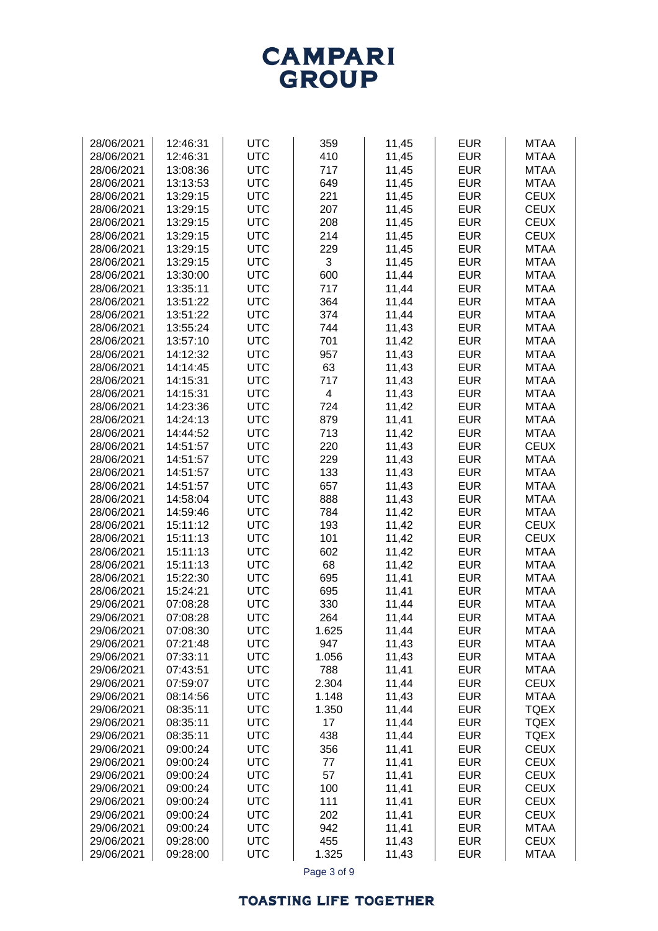### **TOASTING LIFE TOGETHER**

| 28/06/2021 | 12:46:31 | <b>UTC</b> | 359                     | 11,45 | <b>EUR</b> | <b>MTAA</b> |
|------------|----------|------------|-------------------------|-------|------------|-------------|
|            |          |            |                         |       |            |             |
| 28/06/2021 | 12:46:31 | <b>UTC</b> | 410                     | 11,45 | <b>EUR</b> | <b>MTAA</b> |
| 28/06/2021 | 13:08:36 | <b>UTC</b> | 717                     | 11,45 | <b>EUR</b> | <b>MTAA</b> |
| 28/06/2021 | 13:13:53 | <b>UTC</b> | 649                     | 11,45 | <b>EUR</b> | <b>MTAA</b> |
| 28/06/2021 | 13:29:15 | <b>UTC</b> | 221                     | 11,45 | <b>EUR</b> | <b>CEUX</b> |
| 28/06/2021 | 13:29:15 | <b>UTC</b> | 207                     | 11,45 | <b>EUR</b> | <b>CEUX</b> |
| 28/06/2021 | 13:29:15 | <b>UTC</b> | 208                     | 11,45 | <b>EUR</b> | <b>CEUX</b> |
| 28/06/2021 | 13:29:15 | <b>UTC</b> | 214                     | 11,45 | <b>EUR</b> | <b>CEUX</b> |
| 28/06/2021 | 13:29:15 | <b>UTC</b> | 229                     | 11,45 | <b>EUR</b> | <b>MTAA</b> |
| 28/06/2021 | 13:29:15 | <b>UTC</b> | 3                       | 11,45 | <b>EUR</b> | <b>MTAA</b> |
| 28/06/2021 | 13:30:00 | <b>UTC</b> | 600                     | 11,44 | <b>EUR</b> | <b>MTAA</b> |
| 28/06/2021 | 13:35:11 | <b>UTC</b> | 717                     | 11,44 | <b>EUR</b> | <b>MTAA</b> |
| 28/06/2021 | 13:51:22 | <b>UTC</b> | 364                     | 11,44 | <b>EUR</b> | <b>MTAA</b> |
| 28/06/2021 | 13:51:22 | <b>UTC</b> | 374                     | 11,44 | <b>EUR</b> | <b>MTAA</b> |
| 28/06/2021 | 13:55:24 | <b>UTC</b> | 744                     | 11,43 | <b>EUR</b> | <b>MTAA</b> |
| 28/06/2021 | 13:57:10 | <b>UTC</b> | 701                     | 11,42 | <b>EUR</b> | <b>MTAA</b> |
| 28/06/2021 | 14:12:32 | <b>UTC</b> | 957                     | 11,43 | <b>EUR</b> | <b>MTAA</b> |
| 28/06/2021 | 14:14:45 | <b>UTC</b> | 63                      | 11,43 | <b>EUR</b> | <b>MTAA</b> |
| 28/06/2021 | 14:15:31 | <b>UTC</b> | 717                     | 11,43 | <b>EUR</b> | <b>MTAA</b> |
| 28/06/2021 | 14:15:31 | <b>UTC</b> | $\overline{\mathbf{4}}$ | 11,43 | <b>EUR</b> | <b>MTAA</b> |
|            | 14:23:36 |            |                         |       |            |             |
| 28/06/2021 |          | <b>UTC</b> | 724                     | 11,42 | <b>EUR</b> | <b>MTAA</b> |
| 28/06/2021 | 14:24:13 | <b>UTC</b> | 879                     | 11,41 | <b>EUR</b> | <b>MTAA</b> |
| 28/06/2021 | 14:44:52 | <b>UTC</b> | 713                     | 11,42 | <b>EUR</b> | <b>MTAA</b> |
| 28/06/2021 | 14:51:57 | <b>UTC</b> | 220                     | 11,43 | <b>EUR</b> | <b>CEUX</b> |
| 28/06/2021 | 14:51:57 | <b>UTC</b> | 229                     | 11,43 | <b>EUR</b> | <b>MTAA</b> |
| 28/06/2021 | 14:51:57 | <b>UTC</b> | 133                     | 11,43 | <b>EUR</b> | <b>MTAA</b> |
| 28/06/2021 | 14:51:57 | <b>UTC</b> | 657                     | 11,43 | <b>EUR</b> | <b>MTAA</b> |
| 28/06/2021 | 14:58:04 | <b>UTC</b> | 888                     | 11,43 | <b>EUR</b> | <b>MTAA</b> |
| 28/06/2021 | 14:59:46 | <b>UTC</b> | 784                     | 11,42 | <b>EUR</b> | <b>MTAA</b> |
| 28/06/2021 | 15:11:12 | <b>UTC</b> | 193                     | 11,42 | <b>EUR</b> | <b>CEUX</b> |
| 28/06/2021 | 15:11:13 | <b>UTC</b> | 101                     | 11,42 | <b>EUR</b> | <b>CEUX</b> |
| 28/06/2021 | 15:11:13 | <b>UTC</b> | 602                     | 11,42 | <b>EUR</b> | <b>MTAA</b> |
| 28/06/2021 | 15:11:13 | <b>UTC</b> | 68                      | 11,42 | <b>EUR</b> | <b>MTAA</b> |
| 28/06/2021 | 15:22:30 | <b>UTC</b> | 695                     | 11,41 | <b>EUR</b> | <b>MTAA</b> |
| 28/06/2021 | 15:24:21 | <b>UTC</b> | 695                     | 11,41 | <b>EUR</b> | <b>MTAA</b> |
| 29/06/2021 | 07:08:28 | <b>UTC</b> | 330                     | 11,44 | <b>EUR</b> | <b>MTAA</b> |
| 29/06/2021 | 07:08:28 | <b>UTC</b> | 264                     | 11,44 | <b>EUR</b> | <b>MTAA</b> |
| 29/06/2021 | 07:08:30 | <b>UTC</b> | 1.625                   | 11,44 | <b>EUR</b> | <b>MTAA</b> |
| 29/06/2021 | 07:21:48 | <b>UTC</b> | 947                     | 11,43 | <b>EUR</b> | <b>MTAA</b> |
| 29/06/2021 | 07:33:11 | <b>UTC</b> | 1.056                   | 11,43 | <b>EUR</b> | <b>MTAA</b> |
| 29/06/2021 | 07:43:51 | <b>UTC</b> | 788                     | 11,41 | <b>EUR</b> | <b>MTAA</b> |
| 29/06/2021 | 07:59:07 | <b>UTC</b> | 2.304                   | 11,44 | <b>EUR</b> | <b>CEUX</b> |
| 29/06/2021 | 08:14:56 | <b>UTC</b> | 1.148                   | 11,43 | <b>EUR</b> | <b>MTAA</b> |
| 29/06/2021 | 08:35:11 | <b>UTC</b> | 1.350                   | 11,44 | <b>EUR</b> | <b>TQEX</b> |
| 29/06/2021 | 08:35:11 | <b>UTC</b> | 17                      | 11,44 | <b>EUR</b> | <b>TQEX</b> |
| 29/06/2021 | 08:35:11 | <b>UTC</b> | 438                     | 11,44 | <b>EUR</b> | <b>TQEX</b> |
| 29/06/2021 | 09:00:24 | <b>UTC</b> | 356                     | 11,41 | <b>EUR</b> | <b>CEUX</b> |
| 29/06/2021 | 09:00:24 | <b>UTC</b> | 77                      | 11,41 | <b>EUR</b> | <b>CEUX</b> |
| 29/06/2021 | 09:00:24 | <b>UTC</b> | 57                      | 11,41 | <b>EUR</b> | <b>CEUX</b> |
| 29/06/2021 | 09:00:24 | <b>UTC</b> | 100                     |       | <b>EUR</b> | <b>CEUX</b> |
|            |          |            |                         | 11,41 |            |             |
| 29/06/2021 | 09:00:24 | <b>UTC</b> | 111                     | 11,41 | <b>EUR</b> | <b>CEUX</b> |
| 29/06/2021 | 09:00:24 | <b>UTC</b> | 202                     | 11,41 | <b>EUR</b> | <b>CEUX</b> |
| 29/06/2021 | 09:00:24 | <b>UTC</b> | 942                     | 11,41 | <b>EUR</b> | <b>MTAA</b> |
| 29/06/2021 | 09:28:00 | <b>UTC</b> | 455                     | 11,43 | <b>EUR</b> | <b>CEUX</b> |
| 29/06/2021 | 09:28:00 | <b>UTC</b> | 1.325                   | 11,43 | <b>EUR</b> | <b>MTAA</b> |
|            |          |            | Page 3 of 9             |       |            |             |

**CAMPARI GROUP**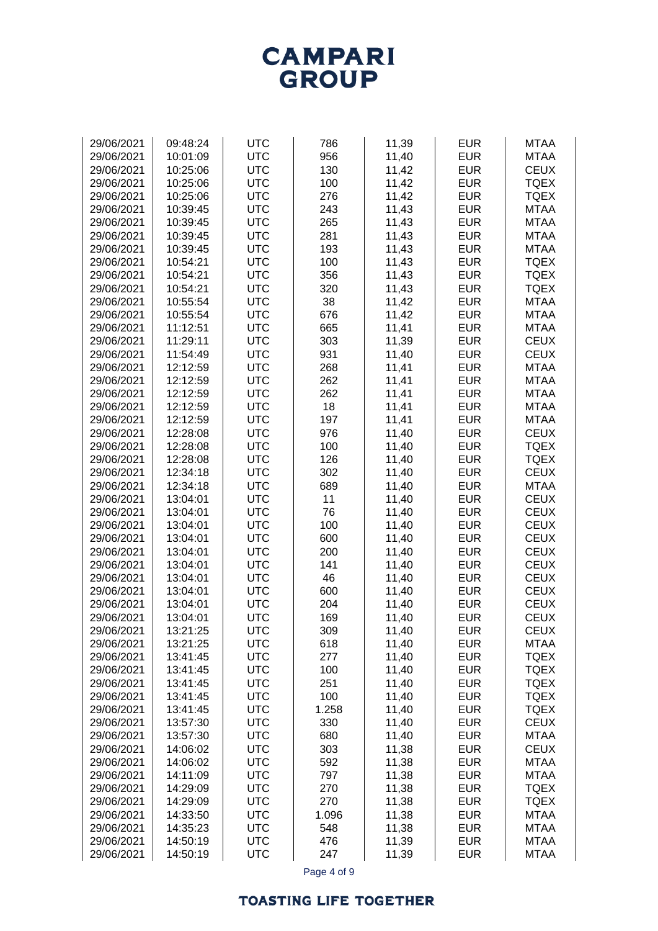

| 29/06/2021 | 09:48:24 | <b>UTC</b> | 786   | 11,39 | <b>EUR</b> | <b>MTAA</b> |
|------------|----------|------------|-------|-------|------------|-------------|
| 29/06/2021 | 10:01:09 | <b>UTC</b> | 956   | 11,40 | <b>EUR</b> | <b>MTAA</b> |
|            |          |            |       |       |            |             |
| 29/06/2021 | 10:25:06 | <b>UTC</b> | 130   | 11,42 | <b>EUR</b> | <b>CEUX</b> |
| 29/06/2021 | 10:25:06 | <b>UTC</b> | 100   | 11,42 | <b>EUR</b> | <b>TQEX</b> |
| 29/06/2021 | 10:25:06 | <b>UTC</b> | 276   | 11,42 | <b>EUR</b> | <b>TQEX</b> |
| 29/06/2021 | 10:39:45 | <b>UTC</b> | 243   | 11,43 | <b>EUR</b> | <b>MTAA</b> |
| 29/06/2021 | 10:39:45 | <b>UTC</b> | 265   | 11,43 | <b>EUR</b> | <b>MTAA</b> |
| 29/06/2021 | 10:39:45 | <b>UTC</b> | 281   | 11,43 | <b>EUR</b> | <b>MTAA</b> |
| 29/06/2021 | 10:39:45 | <b>UTC</b> | 193   | 11,43 | <b>EUR</b> | <b>MTAA</b> |
| 29/06/2021 | 10:54:21 | <b>UTC</b> | 100   |       | <b>EUR</b> | <b>TQEX</b> |
|            |          |            |       | 11,43 |            |             |
| 29/06/2021 | 10:54:21 | <b>UTC</b> | 356   | 11,43 | <b>EUR</b> | <b>TQEX</b> |
| 29/06/2021 | 10:54:21 | <b>UTC</b> | 320   | 11,43 | <b>EUR</b> | <b>TQEX</b> |
| 29/06/2021 | 10:55:54 | <b>UTC</b> | 38    | 11,42 | <b>EUR</b> | <b>MTAA</b> |
| 29/06/2021 | 10:55:54 | <b>UTC</b> | 676   | 11,42 | <b>EUR</b> | <b>MTAA</b> |
| 29/06/2021 | 11:12:51 | <b>UTC</b> | 665   | 11,41 | <b>EUR</b> | <b>MTAA</b> |
| 29/06/2021 | 11:29:11 | <b>UTC</b> | 303   | 11,39 | <b>EUR</b> | <b>CEUX</b> |
| 29/06/2021 | 11:54:49 | <b>UTC</b> | 931   | 11,40 | <b>EUR</b> | <b>CEUX</b> |
| 29/06/2021 | 12:12:59 | <b>UTC</b> | 268   | 11,41 | <b>EUR</b> | <b>MTAA</b> |
| 29/06/2021 | 12:12:59 | <b>UTC</b> | 262   | 11,41 | <b>EUR</b> | <b>MTAA</b> |
|            |          |            |       |       |            |             |
| 29/06/2021 | 12:12:59 | <b>UTC</b> | 262   | 11,41 | <b>EUR</b> | <b>MTAA</b> |
| 29/06/2021 | 12:12:59 | <b>UTC</b> | 18    | 11,41 | <b>EUR</b> | <b>MTAA</b> |
| 29/06/2021 | 12:12:59 | <b>UTC</b> | 197   | 11,41 | <b>EUR</b> | <b>MTAA</b> |
| 29/06/2021 | 12:28:08 | <b>UTC</b> | 976   | 11,40 | <b>EUR</b> | <b>CEUX</b> |
| 29/06/2021 | 12:28:08 | <b>UTC</b> | 100   | 11,40 | <b>EUR</b> | <b>TQEX</b> |
| 29/06/2021 | 12:28:08 | <b>UTC</b> | 126   | 11,40 | <b>EUR</b> | <b>TQEX</b> |
| 29/06/2021 | 12:34:18 | <b>UTC</b> | 302   | 11,40 | <b>EUR</b> | <b>CEUX</b> |
| 29/06/2021 | 12:34:18 | <b>UTC</b> | 689   | 11,40 | <b>EUR</b> | <b>MTAA</b> |
| 29/06/2021 | 13:04:01 | <b>UTC</b> | 11    | 11,40 | <b>EUR</b> | <b>CEUX</b> |
| 29/06/2021 | 13:04:01 | <b>UTC</b> | 76    | 11,40 | <b>EUR</b> | <b>CEUX</b> |
|            |          |            |       |       |            |             |
| 29/06/2021 | 13:04:01 | <b>UTC</b> | 100   | 11,40 | <b>EUR</b> | <b>CEUX</b> |
| 29/06/2021 | 13:04:01 | <b>UTC</b> | 600   | 11,40 | <b>EUR</b> | <b>CEUX</b> |
| 29/06/2021 | 13:04:01 | <b>UTC</b> | 200   | 11,40 | <b>EUR</b> | <b>CEUX</b> |
| 29/06/2021 | 13:04:01 | <b>UTC</b> | 141   | 11,40 | <b>EUR</b> | <b>CEUX</b> |
| 29/06/2021 | 13:04:01 | <b>UTC</b> | 46    | 11,40 | <b>EUR</b> | <b>CEUX</b> |
| 29/06/2021 | 13:04:01 | <b>UTC</b> | 600   | 11,40 | <b>EUR</b> | <b>CEUX</b> |
| 29/06/2021 | 13:04:01 | <b>UTC</b> | 204   | 11,40 | <b>EUR</b> | <b>CEUX</b> |
| 29/06/2021 | 13:04:01 | <b>UTC</b> | 169   | 11,40 | <b>EUR</b> | <b>CEUX</b> |
| 29/06/2021 | 13:21:25 | <b>UTC</b> | 309   | 11,40 | <b>EUR</b> | <b>CEUX</b> |
| 29/06/2021 | 13:21:25 | <b>UTC</b> | 618   | 11,40 | <b>EUR</b> | <b>MTAA</b> |
| 29/06/2021 | 13:41:45 | <b>UTC</b> | 277   | 11,40 | <b>EUR</b> | <b>TQEX</b> |
|            |          | <b>UTC</b> |       |       | <b>EUR</b> | <b>TQEX</b> |
| 29/06/2021 | 13:41:45 |            | 100   | 11,40 |            |             |
| 29/06/2021 | 13:41:45 | <b>UTC</b> | 251   | 11,40 | <b>EUR</b> | <b>TQEX</b> |
| 29/06/2021 | 13:41:45 | <b>UTC</b> | 100   | 11,40 | <b>EUR</b> | <b>TQEX</b> |
| 29/06/2021 | 13:41:45 | <b>UTC</b> | 1.258 | 11,40 | <b>EUR</b> | <b>TQEX</b> |
| 29/06/2021 | 13:57:30 | <b>UTC</b> | 330   | 11,40 | <b>EUR</b> | <b>CEUX</b> |
| 29/06/2021 | 13:57:30 | <b>UTC</b> | 680   | 11,40 | <b>EUR</b> | <b>MTAA</b> |
| 29/06/2021 | 14:06:02 | <b>UTC</b> | 303   | 11,38 | <b>EUR</b> | <b>CEUX</b> |
| 29/06/2021 | 14:06:02 | <b>UTC</b> | 592   | 11,38 | <b>EUR</b> | <b>MTAA</b> |
| 29/06/2021 | 14:11:09 | <b>UTC</b> | 797   | 11,38 | <b>EUR</b> | <b>MTAA</b> |
| 29/06/2021 | 14:29:09 | <b>UTC</b> | 270   | 11,38 | <b>EUR</b> | <b>TQEX</b> |
| 29/06/2021 | 14:29:09 | <b>UTC</b> | 270   |       | <b>EUR</b> | <b>TQEX</b> |
|            |          |            |       | 11,38 |            |             |
| 29/06/2021 | 14:33:50 | <b>UTC</b> | 1.096 | 11,38 | <b>EUR</b> | <b>MTAA</b> |
| 29/06/2021 | 14:35:23 | <b>UTC</b> | 548   | 11,38 | <b>EUR</b> | <b>MTAA</b> |
| 29/06/2021 | 14:50:19 | <b>UTC</b> | 476   | 11,39 | <b>EUR</b> | <b>MTAA</b> |
| 29/06/2021 | 14:50:19 | <b>UTC</b> | 247   | 11,39 | <b>EUR</b> | <b>MTAA</b> |

Page 4 of 9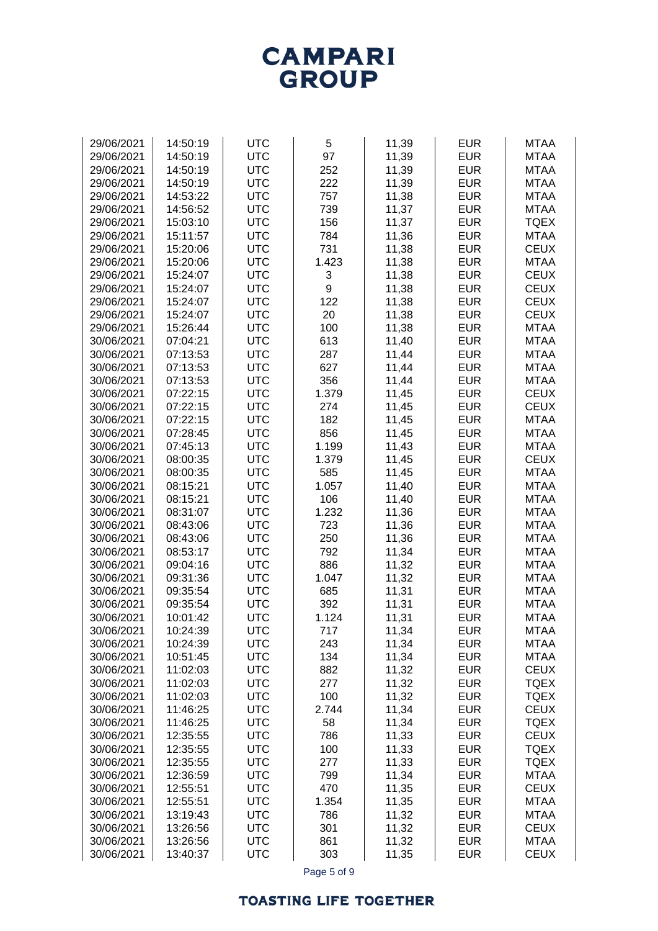# **CAMPARI**<br>GROUP

| 29/06/2021               | 14:50:19             | <b>UTC</b>               | 5            | 11,39          | <b>EUR</b>               | <b>MTAA</b>                |
|--------------------------|----------------------|--------------------------|--------------|----------------|--------------------------|----------------------------|
| 29/06/2021               | 14:50:19             | <b>UTC</b>               | 97           | 11,39          | <b>EUR</b>               | <b>MTAA</b>                |
| 29/06/2021               | 14:50:19             | <b>UTC</b>               | 252          | 11,39          | <b>EUR</b>               | <b>MTAA</b>                |
| 29/06/2021               | 14:50:19             | <b>UTC</b>               | 222          | 11,39          | <b>EUR</b>               | <b>MTAA</b>                |
| 29/06/2021               | 14:53:22             | <b>UTC</b>               | 757          | 11,38          | <b>EUR</b>               | <b>MTAA</b>                |
| 29/06/2021               | 14:56:52             | <b>UTC</b>               | 739          | 11,37          | <b>EUR</b>               | <b>MTAA</b>                |
| 29/06/2021               | 15:03:10             | <b>UTC</b>               | 156          | 11,37          | <b>EUR</b>               | <b>TQEX</b>                |
| 29/06/2021               | 15:11:57             | <b>UTC</b>               | 784          | 11,36          | <b>EUR</b>               | <b>MTAA</b>                |
| 29/06/2021               | 15:20:06             | <b>UTC</b>               | 731          | 11,38          | <b>EUR</b>               | <b>CEUX</b>                |
| 29/06/2021               | 15:20:06             | <b>UTC</b>               | 1.423        | 11,38          | <b>EUR</b>               | <b>MTAA</b>                |
| 29/06/2021               | 15:24:07             | <b>UTC</b>               | 3            | 11,38          | <b>EUR</b>               | <b>CEUX</b>                |
| 29/06/2021               | 15:24:07             | <b>UTC</b>               | 9            | 11,38          | <b>EUR</b>               | <b>CEUX</b>                |
| 29/06/2021               | 15:24:07             | <b>UTC</b>               | 122          | 11,38          | <b>EUR</b>               | <b>CEUX</b>                |
| 29/06/2021               | 15:24:07             | <b>UTC</b>               | 20           | 11,38          | <b>EUR</b>               | <b>CEUX</b>                |
| 29/06/2021               | 15:26:44             | <b>UTC</b>               | 100          | 11,38          | <b>EUR</b>               | <b>MTAA</b>                |
| 30/06/2021               | 07:04:21             | <b>UTC</b>               | 613          | 11,40          | <b>EUR</b>               | <b>MTAA</b>                |
| 30/06/2021               | 07:13:53             | <b>UTC</b>               | 287          | 11,44          | <b>EUR</b>               | <b>MTAA</b>                |
| 30/06/2021               | 07:13:53             | <b>UTC</b>               | 627          | 11,44          | <b>EUR</b>               | <b>MTAA</b>                |
| 30/06/2021               | 07:13:53             | <b>UTC</b>               | 356          | 11,44          | <b>EUR</b>               | <b>MTAA</b>                |
| 30/06/2021               | 07:22:15             | <b>UTC</b>               | 1.379        | 11,45          | <b>EUR</b>               | <b>CEUX</b>                |
| 30/06/2021               | 07:22:15             | <b>UTC</b>               | 274          | 11,45          | <b>EUR</b>               | <b>CEUX</b>                |
| 30/06/2021               | 07:22:15             | <b>UTC</b>               | 182          | 11,45          | <b>EUR</b>               | <b>MTAA</b>                |
| 30/06/2021               | 07:28:45             | <b>UTC</b>               | 856          | 11,45          | <b>EUR</b>               | <b>MTAA</b>                |
| 30/06/2021               | 07:45:13             | <b>UTC</b>               | 1.199        | 11,43          | <b>EUR</b>               | <b>MTAA</b>                |
| 30/06/2021               | 08:00:35             | <b>UTC</b>               | 1.379        | 11,45          | <b>EUR</b>               | <b>CEUX</b>                |
| 30/06/2021               | 08:00:35             | <b>UTC</b>               | 585          | 11,45          | <b>EUR</b>               | <b>MTAA</b>                |
| 30/06/2021               | 08:15:21             | <b>UTC</b>               | 1.057        | 11,40          | <b>EUR</b>               | <b>MTAA</b>                |
| 30/06/2021               | 08:15:21             | <b>UTC</b>               | 106          | 11,40          | <b>EUR</b>               | <b>MTAA</b>                |
| 30/06/2021               | 08:31:07             | <b>UTC</b>               | 1.232        | 11,36          | <b>EUR</b>               | <b>MTAA</b>                |
| 30/06/2021               | 08:43:06             | <b>UTC</b>               | 723          | 11,36          | <b>EUR</b>               | <b>MTAA</b>                |
| 30/06/2021               | 08:43:06             | <b>UTC</b>               | 250          | 11,36          | <b>EUR</b>               | <b>MTAA</b>                |
| 30/06/2021               | 08:53:17             | <b>UTC</b>               | 792          | 11,34          | <b>EUR</b>               | <b>MTAA</b>                |
| 30/06/2021               | 09:04:16             | <b>UTC</b>               | 886          | 11,32          | <b>EUR</b>               | <b>MTAA</b>                |
| 30/06/2021               | 09:31:36             | <b>UTC</b>               | 1.047        | 11,32          | <b>EUR</b>               | <b>MTAA</b>                |
| 30/06/2021               | 09:35:54             | <b>UTC</b>               | 685          | 11,31          | <b>EUR</b>               | <b>MTAA</b>                |
| 30/06/2021               | 09:35:54             | <b>UTC</b>               | 392          | 11,31          | <b>EUR</b>               | <b>MTAA</b>                |
| 30/06/2021               | 10:01:42             | <b>UTC</b>               | 1.124        | 11,31          | <b>EUR</b>               | <b>MTAA</b>                |
| 30/06/2021               | 10:24:39             | <b>UTC</b>               | 717          | 11,34          | <b>EUR</b>               | <b>MTAA</b>                |
| 30/06/2021               | 10:24:39             | <b>UTC</b>               | 243          | 11,34          | <b>EUR</b>               | <b>MTAA</b>                |
| 30/06/2021               | 10:51:45             | <b>UTC</b>               | 134          | 11,34          | <b>EUR</b>               | <b>MTAA</b>                |
| 30/06/2021               | 11:02:03             | <b>UTC</b>               | 882          | 11,32          | <b>EUR</b>               | <b>CEUX</b>                |
| 30/06/2021               | 11:02:03             | <b>UTC</b>               | 277          | 11,32          | <b>EUR</b>               | <b>TQEX</b>                |
| 30/06/2021               | 11:02:03             | <b>UTC</b>               | 100          | 11,32          | <b>EUR</b>               | <b>TQEX</b>                |
| 30/06/2021               | 11:46:25             | <b>UTC</b>               | 2.744        | 11,34          | <b>EUR</b>               | <b>CEUX</b>                |
| 30/06/2021               | 11:46:25             | <b>UTC</b>               | 58           | 11,34          | <b>EUR</b>               | <b>TQEX</b>                |
| 30/06/2021               | 12:35:55             | <b>UTC</b>               | 786          | 11,33          | <b>EUR</b>               | <b>CEUX</b>                |
| 30/06/2021               | 12:35:55             | <b>UTC</b>               | 100          | 11,33          | <b>EUR</b><br><b>EUR</b> | <b>TQEX</b>                |
| 30/06/2021               | 12:35:55             | <b>UTC</b><br><b>UTC</b> | 277          | 11,33          |                          | <b>TQEX</b>                |
| 30/06/2021               | 12:36:59             |                          | 799          | 11,34          | <b>EUR</b>               | <b>MTAA</b>                |
| 30/06/2021<br>30/06/2021 | 12:55:51<br>12:55:51 | <b>UTC</b><br><b>UTC</b> | 470<br>1.354 | 11,35          | <b>EUR</b><br><b>EUR</b> | <b>CEUX</b><br><b>MTAA</b> |
| 30/06/2021               | 13:19:43             | <b>UTC</b>               | 786          | 11,35<br>11,32 | <b>EUR</b>               | <b>MTAA</b>                |
| 30/06/2021               | 13:26:56             | <b>UTC</b>               | 301          | 11,32          | <b>EUR</b>               | <b>CEUX</b>                |
| 30/06/2021               | 13:26:56             | <b>UTC</b>               | 861          | 11,32          | <b>EUR</b>               | <b>MTAA</b>                |
| 30/06/2021               | 13:40:37             | <b>UTC</b>               | 303          | 11,35          | <b>EUR</b>               | <b>CEUX</b>                |
|                          |                      |                          |              |                |                          |                            |

Page 5 of 9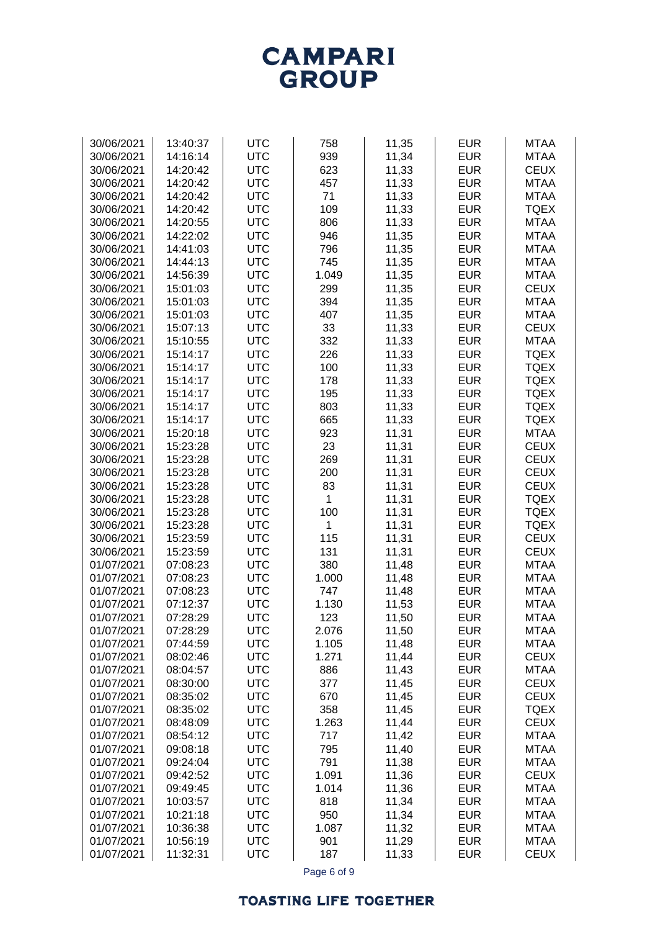

| 30/06/2021 | 13:40:37 | <b>UTC</b> | 758   | 11,35 | <b>EUR</b> | <b>MTAA</b> |
|------------|----------|------------|-------|-------|------------|-------------|
|            |          |            |       |       |            |             |
| 30/06/2021 | 14:16:14 | <b>UTC</b> | 939   | 11,34 | <b>EUR</b> | <b>MTAA</b> |
| 30/06/2021 | 14:20:42 | <b>UTC</b> | 623   | 11,33 | <b>EUR</b> | <b>CEUX</b> |
| 30/06/2021 | 14:20:42 | <b>UTC</b> | 457   | 11,33 | <b>EUR</b> | <b>MTAA</b> |
| 30/06/2021 | 14:20:42 | <b>UTC</b> | 71    | 11,33 | <b>EUR</b> | <b>MTAA</b> |
| 30/06/2021 | 14:20:42 | <b>UTC</b> | 109   | 11,33 | <b>EUR</b> | <b>TQEX</b> |
|            |          |            |       |       |            |             |
| 30/06/2021 | 14:20:55 | <b>UTC</b> | 806   | 11,33 | <b>EUR</b> | <b>MTAA</b> |
| 30/06/2021 | 14:22:02 | <b>UTC</b> | 946   | 11,35 | <b>EUR</b> | <b>MTAA</b> |
| 30/06/2021 | 14:41:03 | <b>UTC</b> | 796   | 11,35 | <b>EUR</b> | <b>MTAA</b> |
| 30/06/2021 | 14:44:13 | <b>UTC</b> | 745   | 11,35 | <b>EUR</b> | <b>MTAA</b> |
| 30/06/2021 | 14:56:39 | <b>UTC</b> | 1.049 | 11,35 | <b>EUR</b> | <b>MTAA</b> |
| 30/06/2021 | 15:01:03 | <b>UTC</b> | 299   | 11,35 | <b>EUR</b> | <b>CEUX</b> |
|            |          |            |       |       |            |             |
| 30/06/2021 | 15:01:03 | <b>UTC</b> | 394   | 11,35 | <b>EUR</b> | <b>MTAA</b> |
| 30/06/2021 | 15:01:03 | <b>UTC</b> | 407   | 11,35 | <b>EUR</b> | <b>MTAA</b> |
| 30/06/2021 | 15:07:13 | <b>UTC</b> | 33    | 11,33 | <b>EUR</b> | <b>CEUX</b> |
| 30/06/2021 | 15:10:55 | <b>UTC</b> | 332   | 11,33 | <b>EUR</b> | <b>MTAA</b> |
| 30/06/2021 | 15:14:17 | <b>UTC</b> | 226   | 11,33 | <b>EUR</b> | <b>TQEX</b> |
| 30/06/2021 | 15:14:17 | <b>UTC</b> | 100   | 11,33 | <b>EUR</b> | <b>TQEX</b> |
|            |          | <b>UTC</b> |       |       |            |             |
| 30/06/2021 | 15:14:17 |            | 178   | 11,33 | <b>EUR</b> | <b>TQEX</b> |
| 30/06/2021 | 15:14:17 | <b>UTC</b> | 195   | 11,33 | <b>EUR</b> | <b>TQEX</b> |
| 30/06/2021 | 15:14:17 | <b>UTC</b> | 803   | 11,33 | <b>EUR</b> | <b>TQEX</b> |
| 30/06/2021 | 15:14:17 | <b>UTC</b> | 665   | 11,33 | <b>EUR</b> | <b>TQEX</b> |
| 30/06/2021 | 15:20:18 | <b>UTC</b> | 923   | 11,31 | <b>EUR</b> | <b>MTAA</b> |
| 30/06/2021 | 15:23:28 | <b>UTC</b> | 23    | 11,31 | <b>EUR</b> | <b>CEUX</b> |
| 30/06/2021 | 15:23:28 | <b>UTC</b> | 269   | 11,31 | <b>EUR</b> | <b>CEUX</b> |
|            |          | <b>UTC</b> | 200   |       | <b>EUR</b> | <b>CEUX</b> |
| 30/06/2021 | 15:23:28 |            |       | 11,31 |            |             |
| 30/06/2021 | 15:23:28 | <b>UTC</b> | 83    | 11,31 | <b>EUR</b> | <b>CEUX</b> |
| 30/06/2021 | 15:23:28 | <b>UTC</b> | 1     | 11,31 | <b>EUR</b> | <b>TQEX</b> |
| 30/06/2021 | 15:23:28 | <b>UTC</b> | 100   | 11,31 | <b>EUR</b> | <b>TQEX</b> |
| 30/06/2021 | 15:23:28 | <b>UTC</b> | 1     | 11,31 | <b>EUR</b> | <b>TQEX</b> |
| 30/06/2021 | 15:23:59 | <b>UTC</b> | 115   | 11,31 | <b>EUR</b> | <b>CEUX</b> |
| 30/06/2021 | 15:23:59 | <b>UTC</b> | 131   | 11,31 | <b>EUR</b> | <b>CEUX</b> |
| 01/07/2021 | 07:08:23 | <b>UTC</b> | 380   | 11,48 | <b>EUR</b> | <b>MTAA</b> |
|            |          |            |       |       |            |             |
| 01/07/2021 | 07:08:23 | <b>UTC</b> | 1.000 | 11,48 | <b>EUR</b> | <b>MTAA</b> |
| 01/07/2021 | 07:08:23 | <b>UTC</b> | 747   | 11,48 | <b>EUR</b> | <b>MTAA</b> |
| 01/07/2021 | 07:12:37 | <b>UTC</b> | 1.130 | 11,53 | <b>EUR</b> | <b>MTAA</b> |
| 01/07/2021 | 07:28:29 | <b>UTC</b> | 123   | 11,50 | <b>EUR</b> | <b>MTAA</b> |
| 01/07/2021 | 07:28:29 | <b>UTC</b> | 2.076 | 11,50 | <b>EUR</b> | <b>MTAA</b> |
| 01/07/2021 | 07:44:59 | <b>UTC</b> | 1.105 | 11,48 | <b>EUR</b> | <b>MTAA</b> |
| 01/07/2021 | 08:02:46 | <b>UTC</b> | 1.271 | 11,44 | <b>EUR</b> | <b>CEUX</b> |
|            |          |            |       |       |            |             |
| 01/07/2021 | 08:04:57 | <b>UTC</b> | 886   | 11,43 | <b>EUR</b> | <b>MTAA</b> |
| 01/07/2021 | 08:30:00 | <b>UTC</b> | 377   | 11,45 | <b>EUR</b> | <b>CEUX</b> |
| 01/07/2021 | 08:35:02 | <b>UTC</b> | 670   | 11,45 | <b>EUR</b> | <b>CEUX</b> |
| 01/07/2021 | 08:35:02 | <b>UTC</b> | 358   | 11,45 | <b>EUR</b> | <b>TQEX</b> |
| 01/07/2021 | 08:48:09 | <b>UTC</b> | 1.263 | 11,44 | <b>EUR</b> | <b>CEUX</b> |
| 01/07/2021 | 08:54:12 | <b>UTC</b> | 717   | 11,42 | <b>EUR</b> | <b>MTAA</b> |
| 01/07/2021 | 09:08:18 | <b>UTC</b> | 795   | 11,40 | <b>EUR</b> | <b>MTAA</b> |
| 01/07/2021 |          | <b>UTC</b> |       |       | <b>EUR</b> | <b>MTAA</b> |
|            | 09:24:04 |            | 791   | 11,38 |            |             |
| 01/07/2021 | 09:42:52 | <b>UTC</b> | 1.091 | 11,36 | <b>EUR</b> | <b>CEUX</b> |
| 01/07/2021 | 09:49:45 | <b>UTC</b> | 1.014 | 11,36 | <b>EUR</b> | <b>MTAA</b> |
| 01/07/2021 | 10:03:57 | <b>UTC</b> | 818   | 11,34 | <b>EUR</b> | <b>MTAA</b> |
| 01/07/2021 | 10:21:18 | <b>UTC</b> | 950   | 11,34 | <b>EUR</b> | <b>MTAA</b> |
| 01/07/2021 | 10:36:38 | <b>UTC</b> | 1.087 | 11,32 | <b>EUR</b> | <b>MTAA</b> |
| 01/07/2021 | 10:56:19 | <b>UTC</b> | 901   | 11,29 | <b>EUR</b> | <b>MTAA</b> |
| 01/07/2021 | 11:32:31 | <b>UTC</b> | 187   | 11,33 | <b>EUR</b> | <b>CEUX</b> |
|            |          |            |       |       |            |             |

Page 6 of 9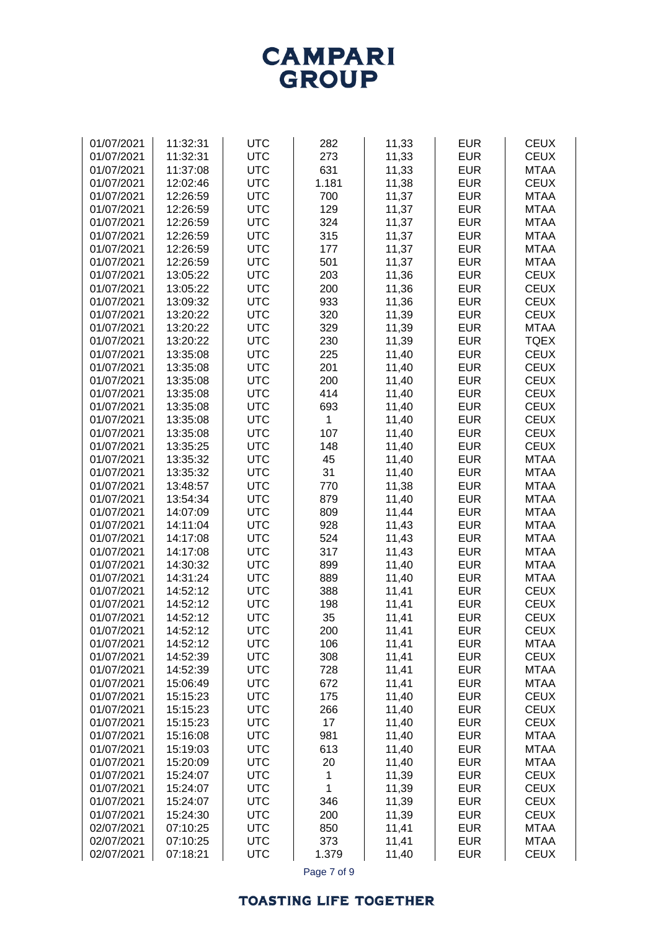| <b>UTC</b><br>273<br>01/07/2021<br>11:32:31<br>11,33<br><b>EUR</b><br><b>CEUX</b><br><b>UTC</b><br>631<br>11,33<br><b>EUR</b><br>01/07/2021<br>11:37:08<br><b>MTAA</b><br><b>UTC</b><br><b>EUR</b><br><b>CEUX</b><br>01/07/2021<br>12:02:46<br>1.181<br>11,38<br><b>UTC</b><br>700<br>11,37<br><b>EUR</b><br>01/07/2021<br>12:26:59<br><b>MTAA</b><br><b>UTC</b><br>129<br>11,37<br><b>EUR</b><br>01/07/2021<br>12:26:59<br><b>MTAA</b><br><b>UTC</b><br>12:26:59<br>324<br>11,37<br><b>EUR</b><br>01/07/2021<br><b>MTAA</b><br><b>UTC</b><br>315<br><b>EUR</b><br>01/07/2021<br>12:26:59<br>11,37<br><b>MTAA</b><br><b>UTC</b><br>177<br>11,37<br><b>EUR</b><br><b>MTAA</b><br>01/07/2021<br>12:26:59<br>12:26:59<br><b>UTC</b><br>501<br>11,37<br><b>EUR</b><br><b>MTAA</b><br>01/07/2021<br><b>UTC</b><br>203<br>11,36<br><b>EUR</b><br><b>CEUX</b><br>01/07/2021<br>13:05:22<br><b>UTC</b><br>200<br>11,36<br><b>EUR</b><br><b>CEUX</b><br>01/07/2021<br>13:05:22<br><b>UTC</b><br>933<br>11,36<br><b>EUR</b><br><b>CEUX</b><br>01/07/2021<br>13:09:32<br>13:20:22<br><b>UTC</b><br>320<br>11,39<br><b>EUR</b><br><b>CEUX</b><br>01/07/2021<br>13:20:22<br><b>UTC</b><br>329<br>11,39<br><b>EUR</b><br>01/07/2021<br><b>MTAA</b><br>13:20:22<br><b>UTC</b><br>230<br>11,39<br><b>EUR</b><br><b>TQEX</b><br>01/07/2021<br>13:35:08<br><b>UTC</b><br>225<br>11,40<br><b>EUR</b><br><b>CEUX</b><br>01/07/2021<br>13:35:08<br><b>UTC</b><br>201<br>11,40<br><b>EUR</b><br><b>CEUX</b><br>01/07/2021<br>13:35:08<br><b>UTC</b><br>200<br>11,40<br><b>EUR</b><br><b>CEUX</b><br>01/07/2021<br><b>UTC</b><br>414<br>11,40<br><b>EUR</b><br><b>CEUX</b><br>01/07/2021<br>13:35:08<br><b>UTC</b><br>693<br>11,40<br><b>EUR</b><br><b>CEUX</b><br>01/07/2021<br>13:35:08<br><b>UTC</b><br>11,40<br><b>EUR</b><br><b>CEUX</b><br>01/07/2021<br>13:35:08<br>1<br><b>UTC</b><br>107<br>11,40<br><b>EUR</b><br><b>CEUX</b><br>01/07/2021<br>13:35:08<br><b>UTC</b><br>148<br>11,40<br><b>EUR</b><br><b>CEUX</b><br>01/07/2021<br>13:35:25<br>45<br>13:35:32<br><b>UTC</b><br>11,40<br><b>EUR</b><br><b>MTAA</b><br>01/07/2021<br><b>EUR</b><br>01/07/2021<br>13:35:32<br><b>UTC</b><br>31<br>11,40<br><b>MTAA</b><br><b>EUR</b><br><b>UTC</b><br>770<br>11,38<br><b>MTAA</b><br>01/07/2021<br>13:48:57<br><b>EUR</b><br><b>UTC</b><br>879<br>11,40<br><b>MTAA</b><br>01/07/2021<br>13:54:34<br><b>EUR</b><br>01/07/2021<br><b>UTC</b><br>809<br>11,44<br><b>MTAA</b><br>14:07:09<br><b>EUR</b><br>01/07/2021<br>14:11:04<br><b>UTC</b><br>928<br>11,43<br><b>MTAA</b><br><b>EUR</b><br>01/07/2021<br>14:17:08<br><b>UTC</b><br>524<br>11,43<br><b>MTAA</b><br>01/07/2021<br><b>UTC</b><br>317<br><b>EUR</b><br><b>MTAA</b><br>14:17:08<br>11,43<br>01/07/2021<br>14:30:32<br><b>UTC</b><br>899<br>11,40<br><b>EUR</b><br><b>MTAA</b><br>01/07/2021<br>14:31:24<br><b>UTC</b><br>889<br>11,40<br><b>EUR</b><br><b>MTAA</b><br>01/07/2021<br>14:52:12<br><b>UTC</b><br>388<br>11,41<br><b>EUR</b><br><b>CEUX</b><br>14:52:12<br><b>UTC</b><br>11,41<br><b>EUR</b><br><b>CEUX</b><br>01/07/2021<br>198<br>01/07/2021<br>14:52:12<br><b>UTC</b><br>35<br><b>EUR</b><br><b>CEUX</b><br>11,41<br>01/07/2021<br>200<br><b>EUR</b><br><b>CEUX</b><br>14:52:12<br><b>UTC</b><br>11,41<br>14:52:12<br><b>EUR</b><br>01/07/2021<br><b>UTC</b><br>106<br>11,41<br><b>MTAA</b><br>01/07/2021<br>14:52:39<br><b>UTC</b><br>308<br>11,41<br><b>EUR</b><br><b>CEUX</b><br><b>UTC</b><br>728<br>11,41<br><b>EUR</b><br>01/07/2021<br>14:52:39<br><b>MTAA</b><br>01/07/2021<br><b>UTC</b><br>672<br>11,41<br><b>EUR</b><br><b>MTAA</b><br>15:06:49<br>01/07/2021<br><b>UTC</b><br>175<br>11,40<br><b>EUR</b><br><b>CEUX</b><br>15:15:23<br><b>UTC</b><br>266<br>11,40<br><b>EUR</b><br><b>CEUX</b><br>01/07/2021<br>15:15:23<br><b>UTC</b><br>17<br>11,40<br><b>EUR</b><br><b>CEUX</b><br>01/07/2021<br>15:15:23<br>01/07/2021<br><b>UTC</b><br>981<br>11,40<br><b>EUR</b><br>15:16:08<br><b>MTAA</b><br>01/07/2021<br><b>UTC</b><br>613<br>11,40<br><b>EUR</b><br><b>MTAA</b><br>15:19:03<br><b>UTC</b><br>20<br><b>EUR</b><br>01/07/2021<br>15:20:09<br>11,40<br><b>MTAA</b><br>01/07/2021<br><b>UTC</b><br>11,39<br><b>EUR</b><br><b>CEUX</b><br>15:24:07<br>$\mathbf 1$<br>01/07/2021<br><b>UTC</b><br>1<br>11,39<br><b>EUR</b><br><b>CEUX</b><br>15:24:07<br><b>UTC</b><br><b>EUR</b><br><b>CEUX</b><br>01/07/2021<br>15:24:07<br>346<br>11,39<br><b>UTC</b><br>200<br>11,39<br><b>EUR</b><br><b>CEUX</b><br>01/07/2021<br>15:24:30<br><b>UTC</b><br>850<br><b>EUR</b><br><b>MTAA</b><br>02/07/2021<br>07:10:25<br>11,41<br>02/07/2021<br><b>UTC</b><br>373<br><b>EUR</b><br>07:10:25<br>11,41<br><b>MTAA</b><br>02/07/2021<br>07:18:21<br><b>UTC</b><br>1.379<br><b>EUR</b><br><b>CEUX</b><br>11,40 | 01/07/2021 | 11:32:31 | <b>UTC</b> | 282         | 11,33 | <b>EUR</b> | <b>CEUX</b> |
|-------------------------------------------------------------------------------------------------------------------------------------------------------------------------------------------------------------------------------------------------------------------------------------------------------------------------------------------------------------------------------------------------------------------------------------------------------------------------------------------------------------------------------------------------------------------------------------------------------------------------------------------------------------------------------------------------------------------------------------------------------------------------------------------------------------------------------------------------------------------------------------------------------------------------------------------------------------------------------------------------------------------------------------------------------------------------------------------------------------------------------------------------------------------------------------------------------------------------------------------------------------------------------------------------------------------------------------------------------------------------------------------------------------------------------------------------------------------------------------------------------------------------------------------------------------------------------------------------------------------------------------------------------------------------------------------------------------------------------------------------------------------------------------------------------------------------------------------------------------------------------------------------------------------------------------------------------------------------------------------------------------------------------------------------------------------------------------------------------------------------------------------------------------------------------------------------------------------------------------------------------------------------------------------------------------------------------------------------------------------------------------------------------------------------------------------------------------------------------------------------------------------------------------------------------------------------------------------------------------------------------------------------------------------------------------------------------------------------------------------------------------------------------------------------------------------------------------------------------------------------------------------------------------------------------------------------------------------------------------------------------------------------------------------------------------------------------------------------------------------------------------------------------------------------------------------------------------------------------------------------------------------------------------------------------------------------------------------------------------------------------------------------------------------------------------------------------------------------------------------------------------------------------------------------------------------------------------------------------------------------------------------------------------------------------------------------------------------------------------------------------------------------------------------------------------------------------------------------------------------------------------------------------------------------------------------------------------------------------------------------------------------------------------------------------------------------------------------------------------------------------------------------------------------------------------------------------------------------------------------------------------------------------------------------------------------------------------------------------------------------------------------------------------------------------------------------------------------------------------------------------------------------------------------------------------------------------------------------------------------------------------------------------------------------------------------------------------------------------------------------------------------------------|------------|----------|------------|-------------|-------|------------|-------------|
|                                                                                                                                                                                                                                                                                                                                                                                                                                                                                                                                                                                                                                                                                                                                                                                                                                                                                                                                                                                                                                                                                                                                                                                                                                                                                                                                                                                                                                                                                                                                                                                                                                                                                                                                                                                                                                                                                                                                                                                                                                                                                                                                                                                                                                                                                                                                                                                                                                                                                                                                                                                                                                                                                                                                                                                                                                                                                                                                                                                                                                                                                                                                                                                                                                                                                                                                                                                                                                                                                                                                                                                                                                                                                                                                                                                                                                                                                                                                                                                                                                                                                                                                                                                                                                                                                                                                                                                                                                                                                                                                                                                                                                                                                                                                                                               |            |          |            |             |       |            |             |
|                                                                                                                                                                                                                                                                                                                                                                                                                                                                                                                                                                                                                                                                                                                                                                                                                                                                                                                                                                                                                                                                                                                                                                                                                                                                                                                                                                                                                                                                                                                                                                                                                                                                                                                                                                                                                                                                                                                                                                                                                                                                                                                                                                                                                                                                                                                                                                                                                                                                                                                                                                                                                                                                                                                                                                                                                                                                                                                                                                                                                                                                                                                                                                                                                                                                                                                                                                                                                                                                                                                                                                                                                                                                                                                                                                                                                                                                                                                                                                                                                                                                                                                                                                                                                                                                                                                                                                                                                                                                                                                                                                                                                                                                                                                                                                               |            |          |            |             |       |            |             |
|                                                                                                                                                                                                                                                                                                                                                                                                                                                                                                                                                                                                                                                                                                                                                                                                                                                                                                                                                                                                                                                                                                                                                                                                                                                                                                                                                                                                                                                                                                                                                                                                                                                                                                                                                                                                                                                                                                                                                                                                                                                                                                                                                                                                                                                                                                                                                                                                                                                                                                                                                                                                                                                                                                                                                                                                                                                                                                                                                                                                                                                                                                                                                                                                                                                                                                                                                                                                                                                                                                                                                                                                                                                                                                                                                                                                                                                                                                                                                                                                                                                                                                                                                                                                                                                                                                                                                                                                                                                                                                                                                                                                                                                                                                                                                                               |            |          |            |             |       |            |             |
|                                                                                                                                                                                                                                                                                                                                                                                                                                                                                                                                                                                                                                                                                                                                                                                                                                                                                                                                                                                                                                                                                                                                                                                                                                                                                                                                                                                                                                                                                                                                                                                                                                                                                                                                                                                                                                                                                                                                                                                                                                                                                                                                                                                                                                                                                                                                                                                                                                                                                                                                                                                                                                                                                                                                                                                                                                                                                                                                                                                                                                                                                                                                                                                                                                                                                                                                                                                                                                                                                                                                                                                                                                                                                                                                                                                                                                                                                                                                                                                                                                                                                                                                                                                                                                                                                                                                                                                                                                                                                                                                                                                                                                                                                                                                                                               |            |          |            |             |       |            |             |
|                                                                                                                                                                                                                                                                                                                                                                                                                                                                                                                                                                                                                                                                                                                                                                                                                                                                                                                                                                                                                                                                                                                                                                                                                                                                                                                                                                                                                                                                                                                                                                                                                                                                                                                                                                                                                                                                                                                                                                                                                                                                                                                                                                                                                                                                                                                                                                                                                                                                                                                                                                                                                                                                                                                                                                                                                                                                                                                                                                                                                                                                                                                                                                                                                                                                                                                                                                                                                                                                                                                                                                                                                                                                                                                                                                                                                                                                                                                                                                                                                                                                                                                                                                                                                                                                                                                                                                                                                                                                                                                                                                                                                                                                                                                                                                               |            |          |            |             |       |            |             |
|                                                                                                                                                                                                                                                                                                                                                                                                                                                                                                                                                                                                                                                                                                                                                                                                                                                                                                                                                                                                                                                                                                                                                                                                                                                                                                                                                                                                                                                                                                                                                                                                                                                                                                                                                                                                                                                                                                                                                                                                                                                                                                                                                                                                                                                                                                                                                                                                                                                                                                                                                                                                                                                                                                                                                                                                                                                                                                                                                                                                                                                                                                                                                                                                                                                                                                                                                                                                                                                                                                                                                                                                                                                                                                                                                                                                                                                                                                                                                                                                                                                                                                                                                                                                                                                                                                                                                                                                                                                                                                                                                                                                                                                                                                                                                                               |            |          |            |             |       |            |             |
|                                                                                                                                                                                                                                                                                                                                                                                                                                                                                                                                                                                                                                                                                                                                                                                                                                                                                                                                                                                                                                                                                                                                                                                                                                                                                                                                                                                                                                                                                                                                                                                                                                                                                                                                                                                                                                                                                                                                                                                                                                                                                                                                                                                                                                                                                                                                                                                                                                                                                                                                                                                                                                                                                                                                                                                                                                                                                                                                                                                                                                                                                                                                                                                                                                                                                                                                                                                                                                                                                                                                                                                                                                                                                                                                                                                                                                                                                                                                                                                                                                                                                                                                                                                                                                                                                                                                                                                                                                                                                                                                                                                                                                                                                                                                                                               |            |          |            |             |       |            |             |
|                                                                                                                                                                                                                                                                                                                                                                                                                                                                                                                                                                                                                                                                                                                                                                                                                                                                                                                                                                                                                                                                                                                                                                                                                                                                                                                                                                                                                                                                                                                                                                                                                                                                                                                                                                                                                                                                                                                                                                                                                                                                                                                                                                                                                                                                                                                                                                                                                                                                                                                                                                                                                                                                                                                                                                                                                                                                                                                                                                                                                                                                                                                                                                                                                                                                                                                                                                                                                                                                                                                                                                                                                                                                                                                                                                                                                                                                                                                                                                                                                                                                                                                                                                                                                                                                                                                                                                                                                                                                                                                                                                                                                                                                                                                                                                               |            |          |            |             |       |            |             |
|                                                                                                                                                                                                                                                                                                                                                                                                                                                                                                                                                                                                                                                                                                                                                                                                                                                                                                                                                                                                                                                                                                                                                                                                                                                                                                                                                                                                                                                                                                                                                                                                                                                                                                                                                                                                                                                                                                                                                                                                                                                                                                                                                                                                                                                                                                                                                                                                                                                                                                                                                                                                                                                                                                                                                                                                                                                                                                                                                                                                                                                                                                                                                                                                                                                                                                                                                                                                                                                                                                                                                                                                                                                                                                                                                                                                                                                                                                                                                                                                                                                                                                                                                                                                                                                                                                                                                                                                                                                                                                                                                                                                                                                                                                                                                                               |            |          |            |             |       |            |             |
|                                                                                                                                                                                                                                                                                                                                                                                                                                                                                                                                                                                                                                                                                                                                                                                                                                                                                                                                                                                                                                                                                                                                                                                                                                                                                                                                                                                                                                                                                                                                                                                                                                                                                                                                                                                                                                                                                                                                                                                                                                                                                                                                                                                                                                                                                                                                                                                                                                                                                                                                                                                                                                                                                                                                                                                                                                                                                                                                                                                                                                                                                                                                                                                                                                                                                                                                                                                                                                                                                                                                                                                                                                                                                                                                                                                                                                                                                                                                                                                                                                                                                                                                                                                                                                                                                                                                                                                                                                                                                                                                                                                                                                                                                                                                                                               |            |          |            |             |       |            |             |
|                                                                                                                                                                                                                                                                                                                                                                                                                                                                                                                                                                                                                                                                                                                                                                                                                                                                                                                                                                                                                                                                                                                                                                                                                                                                                                                                                                                                                                                                                                                                                                                                                                                                                                                                                                                                                                                                                                                                                                                                                                                                                                                                                                                                                                                                                                                                                                                                                                                                                                                                                                                                                                                                                                                                                                                                                                                                                                                                                                                                                                                                                                                                                                                                                                                                                                                                                                                                                                                                                                                                                                                                                                                                                                                                                                                                                                                                                                                                                                                                                                                                                                                                                                                                                                                                                                                                                                                                                                                                                                                                                                                                                                                                                                                                                                               |            |          |            |             |       |            |             |
|                                                                                                                                                                                                                                                                                                                                                                                                                                                                                                                                                                                                                                                                                                                                                                                                                                                                                                                                                                                                                                                                                                                                                                                                                                                                                                                                                                                                                                                                                                                                                                                                                                                                                                                                                                                                                                                                                                                                                                                                                                                                                                                                                                                                                                                                                                                                                                                                                                                                                                                                                                                                                                                                                                                                                                                                                                                                                                                                                                                                                                                                                                                                                                                                                                                                                                                                                                                                                                                                                                                                                                                                                                                                                                                                                                                                                                                                                                                                                                                                                                                                                                                                                                                                                                                                                                                                                                                                                                                                                                                                                                                                                                                                                                                                                                               |            |          |            |             |       |            |             |
|                                                                                                                                                                                                                                                                                                                                                                                                                                                                                                                                                                                                                                                                                                                                                                                                                                                                                                                                                                                                                                                                                                                                                                                                                                                                                                                                                                                                                                                                                                                                                                                                                                                                                                                                                                                                                                                                                                                                                                                                                                                                                                                                                                                                                                                                                                                                                                                                                                                                                                                                                                                                                                                                                                                                                                                                                                                                                                                                                                                                                                                                                                                                                                                                                                                                                                                                                                                                                                                                                                                                                                                                                                                                                                                                                                                                                                                                                                                                                                                                                                                                                                                                                                                                                                                                                                                                                                                                                                                                                                                                                                                                                                                                                                                                                                               |            |          |            |             |       |            |             |
|                                                                                                                                                                                                                                                                                                                                                                                                                                                                                                                                                                                                                                                                                                                                                                                                                                                                                                                                                                                                                                                                                                                                                                                                                                                                                                                                                                                                                                                                                                                                                                                                                                                                                                                                                                                                                                                                                                                                                                                                                                                                                                                                                                                                                                                                                                                                                                                                                                                                                                                                                                                                                                                                                                                                                                                                                                                                                                                                                                                                                                                                                                                                                                                                                                                                                                                                                                                                                                                                                                                                                                                                                                                                                                                                                                                                                                                                                                                                                                                                                                                                                                                                                                                                                                                                                                                                                                                                                                                                                                                                                                                                                                                                                                                                                                               |            |          |            |             |       |            |             |
|                                                                                                                                                                                                                                                                                                                                                                                                                                                                                                                                                                                                                                                                                                                                                                                                                                                                                                                                                                                                                                                                                                                                                                                                                                                                                                                                                                                                                                                                                                                                                                                                                                                                                                                                                                                                                                                                                                                                                                                                                                                                                                                                                                                                                                                                                                                                                                                                                                                                                                                                                                                                                                                                                                                                                                                                                                                                                                                                                                                                                                                                                                                                                                                                                                                                                                                                                                                                                                                                                                                                                                                                                                                                                                                                                                                                                                                                                                                                                                                                                                                                                                                                                                                                                                                                                                                                                                                                                                                                                                                                                                                                                                                                                                                                                                               |            |          |            |             |       |            |             |
|                                                                                                                                                                                                                                                                                                                                                                                                                                                                                                                                                                                                                                                                                                                                                                                                                                                                                                                                                                                                                                                                                                                                                                                                                                                                                                                                                                                                                                                                                                                                                                                                                                                                                                                                                                                                                                                                                                                                                                                                                                                                                                                                                                                                                                                                                                                                                                                                                                                                                                                                                                                                                                                                                                                                                                                                                                                                                                                                                                                                                                                                                                                                                                                                                                                                                                                                                                                                                                                                                                                                                                                                                                                                                                                                                                                                                                                                                                                                                                                                                                                                                                                                                                                                                                                                                                                                                                                                                                                                                                                                                                                                                                                                                                                                                                               |            |          |            |             |       |            |             |
|                                                                                                                                                                                                                                                                                                                                                                                                                                                                                                                                                                                                                                                                                                                                                                                                                                                                                                                                                                                                                                                                                                                                                                                                                                                                                                                                                                                                                                                                                                                                                                                                                                                                                                                                                                                                                                                                                                                                                                                                                                                                                                                                                                                                                                                                                                                                                                                                                                                                                                                                                                                                                                                                                                                                                                                                                                                                                                                                                                                                                                                                                                                                                                                                                                                                                                                                                                                                                                                                                                                                                                                                                                                                                                                                                                                                                                                                                                                                                                                                                                                                                                                                                                                                                                                                                                                                                                                                                                                                                                                                                                                                                                                                                                                                                                               |            |          |            |             |       |            |             |
|                                                                                                                                                                                                                                                                                                                                                                                                                                                                                                                                                                                                                                                                                                                                                                                                                                                                                                                                                                                                                                                                                                                                                                                                                                                                                                                                                                                                                                                                                                                                                                                                                                                                                                                                                                                                                                                                                                                                                                                                                                                                                                                                                                                                                                                                                                                                                                                                                                                                                                                                                                                                                                                                                                                                                                                                                                                                                                                                                                                                                                                                                                                                                                                                                                                                                                                                                                                                                                                                                                                                                                                                                                                                                                                                                                                                                                                                                                                                                                                                                                                                                                                                                                                                                                                                                                                                                                                                                                                                                                                                                                                                                                                                                                                                                                               |            |          |            |             |       |            |             |
|                                                                                                                                                                                                                                                                                                                                                                                                                                                                                                                                                                                                                                                                                                                                                                                                                                                                                                                                                                                                                                                                                                                                                                                                                                                                                                                                                                                                                                                                                                                                                                                                                                                                                                                                                                                                                                                                                                                                                                                                                                                                                                                                                                                                                                                                                                                                                                                                                                                                                                                                                                                                                                                                                                                                                                                                                                                                                                                                                                                                                                                                                                                                                                                                                                                                                                                                                                                                                                                                                                                                                                                                                                                                                                                                                                                                                                                                                                                                                                                                                                                                                                                                                                                                                                                                                                                                                                                                                                                                                                                                                                                                                                                                                                                                                                               |            |          |            |             |       |            |             |
|                                                                                                                                                                                                                                                                                                                                                                                                                                                                                                                                                                                                                                                                                                                                                                                                                                                                                                                                                                                                                                                                                                                                                                                                                                                                                                                                                                                                                                                                                                                                                                                                                                                                                                                                                                                                                                                                                                                                                                                                                                                                                                                                                                                                                                                                                                                                                                                                                                                                                                                                                                                                                                                                                                                                                                                                                                                                                                                                                                                                                                                                                                                                                                                                                                                                                                                                                                                                                                                                                                                                                                                                                                                                                                                                                                                                                                                                                                                                                                                                                                                                                                                                                                                                                                                                                                                                                                                                                                                                                                                                                                                                                                                                                                                                                                               |            |          |            |             |       |            |             |
|                                                                                                                                                                                                                                                                                                                                                                                                                                                                                                                                                                                                                                                                                                                                                                                                                                                                                                                                                                                                                                                                                                                                                                                                                                                                                                                                                                                                                                                                                                                                                                                                                                                                                                                                                                                                                                                                                                                                                                                                                                                                                                                                                                                                                                                                                                                                                                                                                                                                                                                                                                                                                                                                                                                                                                                                                                                                                                                                                                                                                                                                                                                                                                                                                                                                                                                                                                                                                                                                                                                                                                                                                                                                                                                                                                                                                                                                                                                                                                                                                                                                                                                                                                                                                                                                                                                                                                                                                                                                                                                                                                                                                                                                                                                                                                               |            |          |            |             |       |            |             |
|                                                                                                                                                                                                                                                                                                                                                                                                                                                                                                                                                                                                                                                                                                                                                                                                                                                                                                                                                                                                                                                                                                                                                                                                                                                                                                                                                                                                                                                                                                                                                                                                                                                                                                                                                                                                                                                                                                                                                                                                                                                                                                                                                                                                                                                                                                                                                                                                                                                                                                                                                                                                                                                                                                                                                                                                                                                                                                                                                                                                                                                                                                                                                                                                                                                                                                                                                                                                                                                                                                                                                                                                                                                                                                                                                                                                                                                                                                                                                                                                                                                                                                                                                                                                                                                                                                                                                                                                                                                                                                                                                                                                                                                                                                                                                                               |            |          |            |             |       |            |             |
|                                                                                                                                                                                                                                                                                                                                                                                                                                                                                                                                                                                                                                                                                                                                                                                                                                                                                                                                                                                                                                                                                                                                                                                                                                                                                                                                                                                                                                                                                                                                                                                                                                                                                                                                                                                                                                                                                                                                                                                                                                                                                                                                                                                                                                                                                                                                                                                                                                                                                                                                                                                                                                                                                                                                                                                                                                                                                                                                                                                                                                                                                                                                                                                                                                                                                                                                                                                                                                                                                                                                                                                                                                                                                                                                                                                                                                                                                                                                                                                                                                                                                                                                                                                                                                                                                                                                                                                                                                                                                                                                                                                                                                                                                                                                                                               |            |          |            |             |       |            |             |
|                                                                                                                                                                                                                                                                                                                                                                                                                                                                                                                                                                                                                                                                                                                                                                                                                                                                                                                                                                                                                                                                                                                                                                                                                                                                                                                                                                                                                                                                                                                                                                                                                                                                                                                                                                                                                                                                                                                                                                                                                                                                                                                                                                                                                                                                                                                                                                                                                                                                                                                                                                                                                                                                                                                                                                                                                                                                                                                                                                                                                                                                                                                                                                                                                                                                                                                                                                                                                                                                                                                                                                                                                                                                                                                                                                                                                                                                                                                                                                                                                                                                                                                                                                                                                                                                                                                                                                                                                                                                                                                                                                                                                                                                                                                                                                               |            |          |            |             |       |            |             |
|                                                                                                                                                                                                                                                                                                                                                                                                                                                                                                                                                                                                                                                                                                                                                                                                                                                                                                                                                                                                                                                                                                                                                                                                                                                                                                                                                                                                                                                                                                                                                                                                                                                                                                                                                                                                                                                                                                                                                                                                                                                                                                                                                                                                                                                                                                                                                                                                                                                                                                                                                                                                                                                                                                                                                                                                                                                                                                                                                                                                                                                                                                                                                                                                                                                                                                                                                                                                                                                                                                                                                                                                                                                                                                                                                                                                                                                                                                                                                                                                                                                                                                                                                                                                                                                                                                                                                                                                                                                                                                                                                                                                                                                                                                                                                                               |            |          |            |             |       |            |             |
|                                                                                                                                                                                                                                                                                                                                                                                                                                                                                                                                                                                                                                                                                                                                                                                                                                                                                                                                                                                                                                                                                                                                                                                                                                                                                                                                                                                                                                                                                                                                                                                                                                                                                                                                                                                                                                                                                                                                                                                                                                                                                                                                                                                                                                                                                                                                                                                                                                                                                                                                                                                                                                                                                                                                                                                                                                                                                                                                                                                                                                                                                                                                                                                                                                                                                                                                                                                                                                                                                                                                                                                                                                                                                                                                                                                                                                                                                                                                                                                                                                                                                                                                                                                                                                                                                                                                                                                                                                                                                                                                                                                                                                                                                                                                                                               |            |          |            |             |       |            |             |
|                                                                                                                                                                                                                                                                                                                                                                                                                                                                                                                                                                                                                                                                                                                                                                                                                                                                                                                                                                                                                                                                                                                                                                                                                                                                                                                                                                                                                                                                                                                                                                                                                                                                                                                                                                                                                                                                                                                                                                                                                                                                                                                                                                                                                                                                                                                                                                                                                                                                                                                                                                                                                                                                                                                                                                                                                                                                                                                                                                                                                                                                                                                                                                                                                                                                                                                                                                                                                                                                                                                                                                                                                                                                                                                                                                                                                                                                                                                                                                                                                                                                                                                                                                                                                                                                                                                                                                                                                                                                                                                                                                                                                                                                                                                                                                               |            |          |            |             |       |            |             |
|                                                                                                                                                                                                                                                                                                                                                                                                                                                                                                                                                                                                                                                                                                                                                                                                                                                                                                                                                                                                                                                                                                                                                                                                                                                                                                                                                                                                                                                                                                                                                                                                                                                                                                                                                                                                                                                                                                                                                                                                                                                                                                                                                                                                                                                                                                                                                                                                                                                                                                                                                                                                                                                                                                                                                                                                                                                                                                                                                                                                                                                                                                                                                                                                                                                                                                                                                                                                                                                                                                                                                                                                                                                                                                                                                                                                                                                                                                                                                                                                                                                                                                                                                                                                                                                                                                                                                                                                                                                                                                                                                                                                                                                                                                                                                                               |            |          |            |             |       |            |             |
|                                                                                                                                                                                                                                                                                                                                                                                                                                                                                                                                                                                                                                                                                                                                                                                                                                                                                                                                                                                                                                                                                                                                                                                                                                                                                                                                                                                                                                                                                                                                                                                                                                                                                                                                                                                                                                                                                                                                                                                                                                                                                                                                                                                                                                                                                                                                                                                                                                                                                                                                                                                                                                                                                                                                                                                                                                                                                                                                                                                                                                                                                                                                                                                                                                                                                                                                                                                                                                                                                                                                                                                                                                                                                                                                                                                                                                                                                                                                                                                                                                                                                                                                                                                                                                                                                                                                                                                                                                                                                                                                                                                                                                                                                                                                                                               |            |          |            |             |       |            |             |
|                                                                                                                                                                                                                                                                                                                                                                                                                                                                                                                                                                                                                                                                                                                                                                                                                                                                                                                                                                                                                                                                                                                                                                                                                                                                                                                                                                                                                                                                                                                                                                                                                                                                                                                                                                                                                                                                                                                                                                                                                                                                                                                                                                                                                                                                                                                                                                                                                                                                                                                                                                                                                                                                                                                                                                                                                                                                                                                                                                                                                                                                                                                                                                                                                                                                                                                                                                                                                                                                                                                                                                                                                                                                                                                                                                                                                                                                                                                                                                                                                                                                                                                                                                                                                                                                                                                                                                                                                                                                                                                                                                                                                                                                                                                                                                               |            |          |            |             |       |            |             |
|                                                                                                                                                                                                                                                                                                                                                                                                                                                                                                                                                                                                                                                                                                                                                                                                                                                                                                                                                                                                                                                                                                                                                                                                                                                                                                                                                                                                                                                                                                                                                                                                                                                                                                                                                                                                                                                                                                                                                                                                                                                                                                                                                                                                                                                                                                                                                                                                                                                                                                                                                                                                                                                                                                                                                                                                                                                                                                                                                                                                                                                                                                                                                                                                                                                                                                                                                                                                                                                                                                                                                                                                                                                                                                                                                                                                                                                                                                                                                                                                                                                                                                                                                                                                                                                                                                                                                                                                                                                                                                                                                                                                                                                                                                                                                                               |            |          |            |             |       |            |             |
|                                                                                                                                                                                                                                                                                                                                                                                                                                                                                                                                                                                                                                                                                                                                                                                                                                                                                                                                                                                                                                                                                                                                                                                                                                                                                                                                                                                                                                                                                                                                                                                                                                                                                                                                                                                                                                                                                                                                                                                                                                                                                                                                                                                                                                                                                                                                                                                                                                                                                                                                                                                                                                                                                                                                                                                                                                                                                                                                                                                                                                                                                                                                                                                                                                                                                                                                                                                                                                                                                                                                                                                                                                                                                                                                                                                                                                                                                                                                                                                                                                                                                                                                                                                                                                                                                                                                                                                                                                                                                                                                                                                                                                                                                                                                                                               |            |          |            |             |       |            |             |
|                                                                                                                                                                                                                                                                                                                                                                                                                                                                                                                                                                                                                                                                                                                                                                                                                                                                                                                                                                                                                                                                                                                                                                                                                                                                                                                                                                                                                                                                                                                                                                                                                                                                                                                                                                                                                                                                                                                                                                                                                                                                                                                                                                                                                                                                                                                                                                                                                                                                                                                                                                                                                                                                                                                                                                                                                                                                                                                                                                                                                                                                                                                                                                                                                                                                                                                                                                                                                                                                                                                                                                                                                                                                                                                                                                                                                                                                                                                                                                                                                                                                                                                                                                                                                                                                                                                                                                                                                                                                                                                                                                                                                                                                                                                                                                               |            |          |            |             |       |            |             |
|                                                                                                                                                                                                                                                                                                                                                                                                                                                                                                                                                                                                                                                                                                                                                                                                                                                                                                                                                                                                                                                                                                                                                                                                                                                                                                                                                                                                                                                                                                                                                                                                                                                                                                                                                                                                                                                                                                                                                                                                                                                                                                                                                                                                                                                                                                                                                                                                                                                                                                                                                                                                                                                                                                                                                                                                                                                                                                                                                                                                                                                                                                                                                                                                                                                                                                                                                                                                                                                                                                                                                                                                                                                                                                                                                                                                                                                                                                                                                                                                                                                                                                                                                                                                                                                                                                                                                                                                                                                                                                                                                                                                                                                                                                                                                                               |            |          |            |             |       |            |             |
|                                                                                                                                                                                                                                                                                                                                                                                                                                                                                                                                                                                                                                                                                                                                                                                                                                                                                                                                                                                                                                                                                                                                                                                                                                                                                                                                                                                                                                                                                                                                                                                                                                                                                                                                                                                                                                                                                                                                                                                                                                                                                                                                                                                                                                                                                                                                                                                                                                                                                                                                                                                                                                                                                                                                                                                                                                                                                                                                                                                                                                                                                                                                                                                                                                                                                                                                                                                                                                                                                                                                                                                                                                                                                                                                                                                                                                                                                                                                                                                                                                                                                                                                                                                                                                                                                                                                                                                                                                                                                                                                                                                                                                                                                                                                                                               |            |          |            |             |       |            |             |
|                                                                                                                                                                                                                                                                                                                                                                                                                                                                                                                                                                                                                                                                                                                                                                                                                                                                                                                                                                                                                                                                                                                                                                                                                                                                                                                                                                                                                                                                                                                                                                                                                                                                                                                                                                                                                                                                                                                                                                                                                                                                                                                                                                                                                                                                                                                                                                                                                                                                                                                                                                                                                                                                                                                                                                                                                                                                                                                                                                                                                                                                                                                                                                                                                                                                                                                                                                                                                                                                                                                                                                                                                                                                                                                                                                                                                                                                                                                                                                                                                                                                                                                                                                                                                                                                                                                                                                                                                                                                                                                                                                                                                                                                                                                                                                               |            |          |            |             |       |            |             |
|                                                                                                                                                                                                                                                                                                                                                                                                                                                                                                                                                                                                                                                                                                                                                                                                                                                                                                                                                                                                                                                                                                                                                                                                                                                                                                                                                                                                                                                                                                                                                                                                                                                                                                                                                                                                                                                                                                                                                                                                                                                                                                                                                                                                                                                                                                                                                                                                                                                                                                                                                                                                                                                                                                                                                                                                                                                                                                                                                                                                                                                                                                                                                                                                                                                                                                                                                                                                                                                                                                                                                                                                                                                                                                                                                                                                                                                                                                                                                                                                                                                                                                                                                                                                                                                                                                                                                                                                                                                                                                                                                                                                                                                                                                                                                                               |            |          |            |             |       |            |             |
|                                                                                                                                                                                                                                                                                                                                                                                                                                                                                                                                                                                                                                                                                                                                                                                                                                                                                                                                                                                                                                                                                                                                                                                                                                                                                                                                                                                                                                                                                                                                                                                                                                                                                                                                                                                                                                                                                                                                                                                                                                                                                                                                                                                                                                                                                                                                                                                                                                                                                                                                                                                                                                                                                                                                                                                                                                                                                                                                                                                                                                                                                                                                                                                                                                                                                                                                                                                                                                                                                                                                                                                                                                                                                                                                                                                                                                                                                                                                                                                                                                                                                                                                                                                                                                                                                                                                                                                                                                                                                                                                                                                                                                                                                                                                                                               |            |          |            |             |       |            |             |
|                                                                                                                                                                                                                                                                                                                                                                                                                                                                                                                                                                                                                                                                                                                                                                                                                                                                                                                                                                                                                                                                                                                                                                                                                                                                                                                                                                                                                                                                                                                                                                                                                                                                                                                                                                                                                                                                                                                                                                                                                                                                                                                                                                                                                                                                                                                                                                                                                                                                                                                                                                                                                                                                                                                                                                                                                                                                                                                                                                                                                                                                                                                                                                                                                                                                                                                                                                                                                                                                                                                                                                                                                                                                                                                                                                                                                                                                                                                                                                                                                                                                                                                                                                                                                                                                                                                                                                                                                                                                                                                                                                                                                                                                                                                                                                               |            |          |            |             |       |            |             |
|                                                                                                                                                                                                                                                                                                                                                                                                                                                                                                                                                                                                                                                                                                                                                                                                                                                                                                                                                                                                                                                                                                                                                                                                                                                                                                                                                                                                                                                                                                                                                                                                                                                                                                                                                                                                                                                                                                                                                                                                                                                                                                                                                                                                                                                                                                                                                                                                                                                                                                                                                                                                                                                                                                                                                                                                                                                                                                                                                                                                                                                                                                                                                                                                                                                                                                                                                                                                                                                                                                                                                                                                                                                                                                                                                                                                                                                                                                                                                                                                                                                                                                                                                                                                                                                                                                                                                                                                                                                                                                                                                                                                                                                                                                                                                                               |            |          |            |             |       |            |             |
|                                                                                                                                                                                                                                                                                                                                                                                                                                                                                                                                                                                                                                                                                                                                                                                                                                                                                                                                                                                                                                                                                                                                                                                                                                                                                                                                                                                                                                                                                                                                                                                                                                                                                                                                                                                                                                                                                                                                                                                                                                                                                                                                                                                                                                                                                                                                                                                                                                                                                                                                                                                                                                                                                                                                                                                                                                                                                                                                                                                                                                                                                                                                                                                                                                                                                                                                                                                                                                                                                                                                                                                                                                                                                                                                                                                                                                                                                                                                                                                                                                                                                                                                                                                                                                                                                                                                                                                                                                                                                                                                                                                                                                                                                                                                                                               |            |          |            |             |       |            |             |
|                                                                                                                                                                                                                                                                                                                                                                                                                                                                                                                                                                                                                                                                                                                                                                                                                                                                                                                                                                                                                                                                                                                                                                                                                                                                                                                                                                                                                                                                                                                                                                                                                                                                                                                                                                                                                                                                                                                                                                                                                                                                                                                                                                                                                                                                                                                                                                                                                                                                                                                                                                                                                                                                                                                                                                                                                                                                                                                                                                                                                                                                                                                                                                                                                                                                                                                                                                                                                                                                                                                                                                                                                                                                                                                                                                                                                                                                                                                                                                                                                                                                                                                                                                                                                                                                                                                                                                                                                                                                                                                                                                                                                                                                                                                                                                               |            |          |            |             |       |            |             |
|                                                                                                                                                                                                                                                                                                                                                                                                                                                                                                                                                                                                                                                                                                                                                                                                                                                                                                                                                                                                                                                                                                                                                                                                                                                                                                                                                                                                                                                                                                                                                                                                                                                                                                                                                                                                                                                                                                                                                                                                                                                                                                                                                                                                                                                                                                                                                                                                                                                                                                                                                                                                                                                                                                                                                                                                                                                                                                                                                                                                                                                                                                                                                                                                                                                                                                                                                                                                                                                                                                                                                                                                                                                                                                                                                                                                                                                                                                                                                                                                                                                                                                                                                                                                                                                                                                                                                                                                                                                                                                                                                                                                                                                                                                                                                                               |            |          |            |             |       |            |             |
|                                                                                                                                                                                                                                                                                                                                                                                                                                                                                                                                                                                                                                                                                                                                                                                                                                                                                                                                                                                                                                                                                                                                                                                                                                                                                                                                                                                                                                                                                                                                                                                                                                                                                                                                                                                                                                                                                                                                                                                                                                                                                                                                                                                                                                                                                                                                                                                                                                                                                                                                                                                                                                                                                                                                                                                                                                                                                                                                                                                                                                                                                                                                                                                                                                                                                                                                                                                                                                                                                                                                                                                                                                                                                                                                                                                                                                                                                                                                                                                                                                                                                                                                                                                                                                                                                                                                                                                                                                                                                                                                                                                                                                                                                                                                                                               |            |          |            |             |       |            |             |
|                                                                                                                                                                                                                                                                                                                                                                                                                                                                                                                                                                                                                                                                                                                                                                                                                                                                                                                                                                                                                                                                                                                                                                                                                                                                                                                                                                                                                                                                                                                                                                                                                                                                                                                                                                                                                                                                                                                                                                                                                                                                                                                                                                                                                                                                                                                                                                                                                                                                                                                                                                                                                                                                                                                                                                                                                                                                                                                                                                                                                                                                                                                                                                                                                                                                                                                                                                                                                                                                                                                                                                                                                                                                                                                                                                                                                                                                                                                                                                                                                                                                                                                                                                                                                                                                                                                                                                                                                                                                                                                                                                                                                                                                                                                                                                               |            |          |            |             |       |            |             |
|                                                                                                                                                                                                                                                                                                                                                                                                                                                                                                                                                                                                                                                                                                                                                                                                                                                                                                                                                                                                                                                                                                                                                                                                                                                                                                                                                                                                                                                                                                                                                                                                                                                                                                                                                                                                                                                                                                                                                                                                                                                                                                                                                                                                                                                                                                                                                                                                                                                                                                                                                                                                                                                                                                                                                                                                                                                                                                                                                                                                                                                                                                                                                                                                                                                                                                                                                                                                                                                                                                                                                                                                                                                                                                                                                                                                                                                                                                                                                                                                                                                                                                                                                                                                                                                                                                                                                                                                                                                                                                                                                                                                                                                                                                                                                                               |            |          |            |             |       |            |             |
|                                                                                                                                                                                                                                                                                                                                                                                                                                                                                                                                                                                                                                                                                                                                                                                                                                                                                                                                                                                                                                                                                                                                                                                                                                                                                                                                                                                                                                                                                                                                                                                                                                                                                                                                                                                                                                                                                                                                                                                                                                                                                                                                                                                                                                                                                                                                                                                                                                                                                                                                                                                                                                                                                                                                                                                                                                                                                                                                                                                                                                                                                                                                                                                                                                                                                                                                                                                                                                                                                                                                                                                                                                                                                                                                                                                                                                                                                                                                                                                                                                                                                                                                                                                                                                                                                                                                                                                                                                                                                                                                                                                                                                                                                                                                                                               |            |          |            |             |       |            |             |
|                                                                                                                                                                                                                                                                                                                                                                                                                                                                                                                                                                                                                                                                                                                                                                                                                                                                                                                                                                                                                                                                                                                                                                                                                                                                                                                                                                                                                                                                                                                                                                                                                                                                                                                                                                                                                                                                                                                                                                                                                                                                                                                                                                                                                                                                                                                                                                                                                                                                                                                                                                                                                                                                                                                                                                                                                                                                                                                                                                                                                                                                                                                                                                                                                                                                                                                                                                                                                                                                                                                                                                                                                                                                                                                                                                                                                                                                                                                                                                                                                                                                                                                                                                                                                                                                                                                                                                                                                                                                                                                                                                                                                                                                                                                                                                               |            |          |            |             |       |            |             |
|                                                                                                                                                                                                                                                                                                                                                                                                                                                                                                                                                                                                                                                                                                                                                                                                                                                                                                                                                                                                                                                                                                                                                                                                                                                                                                                                                                                                                                                                                                                                                                                                                                                                                                                                                                                                                                                                                                                                                                                                                                                                                                                                                                                                                                                                                                                                                                                                                                                                                                                                                                                                                                                                                                                                                                                                                                                                                                                                                                                                                                                                                                                                                                                                                                                                                                                                                                                                                                                                                                                                                                                                                                                                                                                                                                                                                                                                                                                                                                                                                                                                                                                                                                                                                                                                                                                                                                                                                                                                                                                                                                                                                                                                                                                                                                               |            |          |            |             |       |            |             |
|                                                                                                                                                                                                                                                                                                                                                                                                                                                                                                                                                                                                                                                                                                                                                                                                                                                                                                                                                                                                                                                                                                                                                                                                                                                                                                                                                                                                                                                                                                                                                                                                                                                                                                                                                                                                                                                                                                                                                                                                                                                                                                                                                                                                                                                                                                                                                                                                                                                                                                                                                                                                                                                                                                                                                                                                                                                                                                                                                                                                                                                                                                                                                                                                                                                                                                                                                                                                                                                                                                                                                                                                                                                                                                                                                                                                                                                                                                                                                                                                                                                                                                                                                                                                                                                                                                                                                                                                                                                                                                                                                                                                                                                                                                                                                                               |            |          |            |             |       |            |             |
|                                                                                                                                                                                                                                                                                                                                                                                                                                                                                                                                                                                                                                                                                                                                                                                                                                                                                                                                                                                                                                                                                                                                                                                                                                                                                                                                                                                                                                                                                                                                                                                                                                                                                                                                                                                                                                                                                                                                                                                                                                                                                                                                                                                                                                                                                                                                                                                                                                                                                                                                                                                                                                                                                                                                                                                                                                                                                                                                                                                                                                                                                                                                                                                                                                                                                                                                                                                                                                                                                                                                                                                                                                                                                                                                                                                                                                                                                                                                                                                                                                                                                                                                                                                                                                                                                                                                                                                                                                                                                                                                                                                                                                                                                                                                                                               |            |          |            |             |       |            |             |
|                                                                                                                                                                                                                                                                                                                                                                                                                                                                                                                                                                                                                                                                                                                                                                                                                                                                                                                                                                                                                                                                                                                                                                                                                                                                                                                                                                                                                                                                                                                                                                                                                                                                                                                                                                                                                                                                                                                                                                                                                                                                                                                                                                                                                                                                                                                                                                                                                                                                                                                                                                                                                                                                                                                                                                                                                                                                                                                                                                                                                                                                                                                                                                                                                                                                                                                                                                                                                                                                                                                                                                                                                                                                                                                                                                                                                                                                                                                                                                                                                                                                                                                                                                                                                                                                                                                                                                                                                                                                                                                                                                                                                                                                                                                                                                               |            |          |            |             |       |            |             |
|                                                                                                                                                                                                                                                                                                                                                                                                                                                                                                                                                                                                                                                                                                                                                                                                                                                                                                                                                                                                                                                                                                                                                                                                                                                                                                                                                                                                                                                                                                                                                                                                                                                                                                                                                                                                                                                                                                                                                                                                                                                                                                                                                                                                                                                                                                                                                                                                                                                                                                                                                                                                                                                                                                                                                                                                                                                                                                                                                                                                                                                                                                                                                                                                                                                                                                                                                                                                                                                                                                                                                                                                                                                                                                                                                                                                                                                                                                                                                                                                                                                                                                                                                                                                                                                                                                                                                                                                                                                                                                                                                                                                                                                                                                                                                                               |            |          |            |             |       |            |             |
|                                                                                                                                                                                                                                                                                                                                                                                                                                                                                                                                                                                                                                                                                                                                                                                                                                                                                                                                                                                                                                                                                                                                                                                                                                                                                                                                                                                                                                                                                                                                                                                                                                                                                                                                                                                                                                                                                                                                                                                                                                                                                                                                                                                                                                                                                                                                                                                                                                                                                                                                                                                                                                                                                                                                                                                                                                                                                                                                                                                                                                                                                                                                                                                                                                                                                                                                                                                                                                                                                                                                                                                                                                                                                                                                                                                                                                                                                                                                                                                                                                                                                                                                                                                                                                                                                                                                                                                                                                                                                                                                                                                                                                                                                                                                                                               |            |          |            |             |       |            |             |
|                                                                                                                                                                                                                                                                                                                                                                                                                                                                                                                                                                                                                                                                                                                                                                                                                                                                                                                                                                                                                                                                                                                                                                                                                                                                                                                                                                                                                                                                                                                                                                                                                                                                                                                                                                                                                                                                                                                                                                                                                                                                                                                                                                                                                                                                                                                                                                                                                                                                                                                                                                                                                                                                                                                                                                                                                                                                                                                                                                                                                                                                                                                                                                                                                                                                                                                                                                                                                                                                                                                                                                                                                                                                                                                                                                                                                                                                                                                                                                                                                                                                                                                                                                                                                                                                                                                                                                                                                                                                                                                                                                                                                                                                                                                                                                               |            |          |            |             |       |            |             |
|                                                                                                                                                                                                                                                                                                                                                                                                                                                                                                                                                                                                                                                                                                                                                                                                                                                                                                                                                                                                                                                                                                                                                                                                                                                                                                                                                                                                                                                                                                                                                                                                                                                                                                                                                                                                                                                                                                                                                                                                                                                                                                                                                                                                                                                                                                                                                                                                                                                                                                                                                                                                                                                                                                                                                                                                                                                                                                                                                                                                                                                                                                                                                                                                                                                                                                                                                                                                                                                                                                                                                                                                                                                                                                                                                                                                                                                                                                                                                                                                                                                                                                                                                                                                                                                                                                                                                                                                                                                                                                                                                                                                                                                                                                                                                                               |            |          |            | Page 7 of 9 |       |            |             |

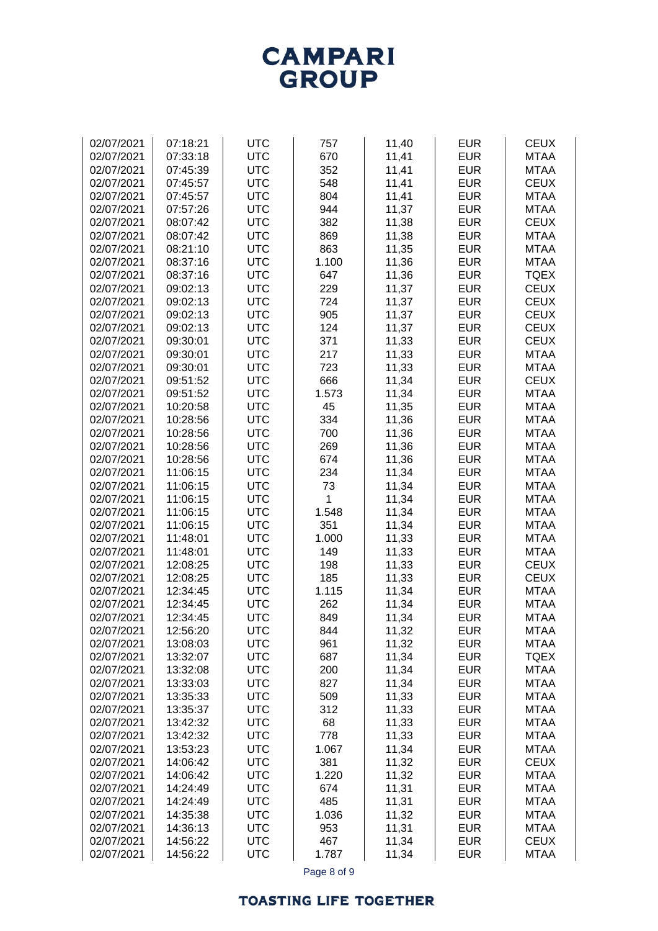**CAMPARI**<br>GROUP

| 02/07/2021 | 07:18:21 | <b>UTC</b> | 757   | 11,40 | <b>EUR</b> | <b>CEUX</b> |
|------------|----------|------------|-------|-------|------------|-------------|
| 02/07/2021 |          | <b>UTC</b> |       |       | <b>EUR</b> | <b>MTAA</b> |
|            | 07:33:18 |            | 670   | 11,41 |            |             |
| 02/07/2021 | 07:45:39 | <b>UTC</b> | 352   | 11,41 | <b>EUR</b> | <b>MTAA</b> |
| 02/07/2021 | 07:45:57 | <b>UTC</b> | 548   | 11,41 | <b>EUR</b> | <b>CEUX</b> |
| 02/07/2021 | 07:45:57 | <b>UTC</b> | 804   | 11,41 | <b>EUR</b> | <b>MTAA</b> |
| 02/07/2021 | 07:57:26 | <b>UTC</b> | 944   | 11,37 | <b>EUR</b> | <b>MTAA</b> |
| 02/07/2021 |          |            |       |       |            | <b>CEUX</b> |
|            | 08:07:42 | <b>UTC</b> | 382   | 11,38 | <b>EUR</b> |             |
| 02/07/2021 | 08:07:42 | <b>UTC</b> | 869   | 11,38 | <b>EUR</b> | <b>MTAA</b> |
| 02/07/2021 | 08:21:10 | <b>UTC</b> | 863   | 11,35 | <b>EUR</b> | <b>MTAA</b> |
| 02/07/2021 | 08:37:16 | <b>UTC</b> | 1.100 | 11,36 | <b>EUR</b> | <b>MTAA</b> |
| 02/07/2021 | 08:37:16 | <b>UTC</b> | 647   | 11,36 | <b>EUR</b> | <b>TQEX</b> |
| 02/07/2021 | 09:02:13 | <b>UTC</b> | 229   | 11,37 | <b>EUR</b> | <b>CEUX</b> |
| 02/07/2021 | 09:02:13 | <b>UTC</b> | 724   | 11,37 | <b>EUR</b> | <b>CEUX</b> |
|            |          |            |       |       |            |             |
| 02/07/2021 | 09:02:13 | <b>UTC</b> | 905   | 11,37 | <b>EUR</b> | <b>CEUX</b> |
| 02/07/2021 | 09:02:13 | <b>UTC</b> | 124   | 11,37 | <b>EUR</b> | <b>CEUX</b> |
| 02/07/2021 | 09:30:01 | <b>UTC</b> | 371   | 11,33 | <b>EUR</b> | <b>CEUX</b> |
| 02/07/2021 | 09:30:01 | <b>UTC</b> | 217   | 11,33 | <b>EUR</b> | <b>MTAA</b> |
| 02/07/2021 | 09:30:01 | <b>UTC</b> | 723   | 11,33 | <b>EUR</b> | <b>MTAA</b> |
| 02/07/2021 | 09:51:52 | <b>UTC</b> | 666   | 11,34 | <b>EUR</b> | <b>CEUX</b> |
|            |          |            | 1.573 |       | <b>EUR</b> | <b>MTAA</b> |
| 02/07/2021 | 09:51:52 | <b>UTC</b> |       | 11,34 |            |             |
| 02/07/2021 | 10:20:58 | <b>UTC</b> | 45    | 11,35 | <b>EUR</b> | <b>MTAA</b> |
| 02/07/2021 | 10:28:56 | <b>UTC</b> | 334   | 11,36 | <b>EUR</b> | <b>MTAA</b> |
| 02/07/2021 | 10:28:56 | <b>UTC</b> | 700   | 11,36 | <b>EUR</b> | <b>MTAA</b> |
| 02/07/2021 | 10:28:56 | <b>UTC</b> | 269   | 11,36 | <b>EUR</b> | <b>MTAA</b> |
| 02/07/2021 | 10:28:56 | <b>UTC</b> | 674   | 11,36 | <b>EUR</b> | <b>MTAA</b> |
| 02/07/2021 | 11:06:15 | <b>UTC</b> | 234   | 11,34 | <b>EUR</b> | <b>MTAA</b> |
| 02/07/2021 | 11:06:15 | <b>UTC</b> | 73    | 11,34 | <b>EUR</b> | <b>MTAA</b> |
|            |          |            |       |       |            |             |
| 02/07/2021 | 11:06:15 | <b>UTC</b> | 1     | 11,34 | <b>EUR</b> | <b>MTAA</b> |
| 02/07/2021 | 11:06:15 | <b>UTC</b> | 1.548 | 11,34 | <b>EUR</b> | <b>MTAA</b> |
| 02/07/2021 | 11:06:15 | <b>UTC</b> | 351   | 11,34 | <b>EUR</b> | <b>MTAA</b> |
| 02/07/2021 | 11:48:01 | <b>UTC</b> | 1.000 | 11,33 | <b>EUR</b> | <b>MTAA</b> |
| 02/07/2021 | 11:48:01 | <b>UTC</b> | 149   | 11,33 | <b>EUR</b> | <b>MTAA</b> |
| 02/07/2021 | 12:08:25 | <b>UTC</b> | 198   | 11,33 | <b>EUR</b> | <b>CEUX</b> |
| 02/07/2021 |          | <b>UTC</b> | 185   |       | <b>EUR</b> | <b>CEUX</b> |
|            | 12:08:25 |            |       | 11,33 |            |             |
| 02/07/2021 | 12:34:45 | <b>UTC</b> | 1.115 | 11,34 | <b>EUR</b> | <b>MTAA</b> |
| 02/07/2021 | 12:34:45 | <b>UTC</b> | 262   | 11,34 | <b>EUR</b> | <b>MTAA</b> |
| 02/07/2021 | 12:34:45 | <b>UTC</b> | 849   | 11,34 | <b>EUR</b> | <b>MTAA</b> |
| 02/07/2021 | 12:56:20 | <b>UTC</b> | 844   | 11,32 | <b>EUR</b> | <b>MTAA</b> |
| 02/07/2021 | 13:08:03 | <b>UTC</b> | 961   | 11,32 | <b>EUR</b> | <b>MTAA</b> |
| 02/07/2021 | 13:32:07 | <b>UTC</b> | 687   | 11,34 | <b>EUR</b> | <b>TQEX</b> |
| 02/07/2021 | 13:32:08 | <b>UTC</b> | 200   | 11,34 | <b>EUR</b> | <b>MTAA</b> |
| 02/07/2021 | 13:33:03 | <b>UTC</b> | 827   |       | <b>EUR</b> | <b>MTAA</b> |
|            |          |            |       | 11,34 |            |             |
| 02/07/2021 | 13:35:33 | <b>UTC</b> | 509   | 11,33 | <b>EUR</b> | <b>MTAA</b> |
| 02/07/2021 | 13:35:37 | <b>UTC</b> | 312   | 11,33 | <b>EUR</b> | <b>MTAA</b> |
| 02/07/2021 | 13:42:32 | <b>UTC</b> | 68    | 11,33 | <b>EUR</b> | <b>MTAA</b> |
| 02/07/2021 | 13:42:32 | <b>UTC</b> | 778   | 11,33 | <b>EUR</b> | <b>MTAA</b> |
| 02/07/2021 | 13:53:23 | <b>UTC</b> | 1.067 | 11,34 | <b>EUR</b> | <b>MTAA</b> |
| 02/07/2021 | 14:06:42 | <b>UTC</b> | 381   | 11,32 | <b>EUR</b> | <b>CEUX</b> |
|            |          | <b>UTC</b> | 1.220 |       | <b>EUR</b> | <b>MTAA</b> |
| 02/07/2021 | 14:06:42 |            |       | 11,32 |            |             |
| 02/07/2021 | 14:24:49 | <b>UTC</b> | 674   | 11,31 | <b>EUR</b> | <b>MTAA</b> |
| 02/07/2021 | 14:24:49 | <b>UTC</b> | 485   | 11,31 | <b>EUR</b> | <b>MTAA</b> |
| 02/07/2021 | 14:35:38 | <b>UTC</b> | 1.036 | 11,32 | <b>EUR</b> | <b>MTAA</b> |
| 02/07/2021 | 14:36:13 | <b>UTC</b> | 953   | 11,31 | <b>EUR</b> | <b>MTAA</b> |
| 02/07/2021 | 14:56:22 | <b>UTC</b> | 467   | 11,34 | <b>EUR</b> | <b>CEUX</b> |
| 02/07/2021 | 14:56:22 | <b>UTC</b> | 1.787 | 11,34 | <b>EUR</b> | <b>MTAA</b> |
|            |          |            |       |       |            |             |

Page 8 of 9